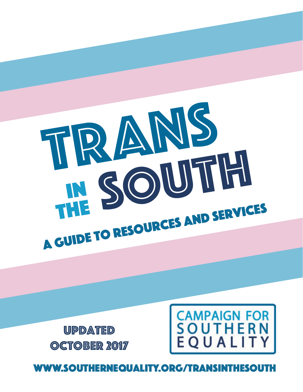## www.southernequality.org/transinthesouth

Updated OCTOBER 2017



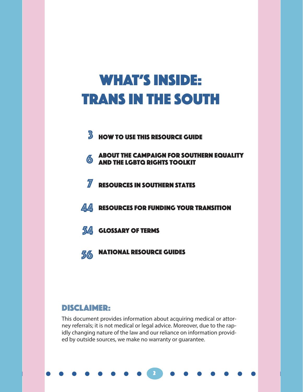## WHAT'S INSIDE: Trans in the South

- **3** How to use this resource guide
- 6 ABOUT THE CAMPAIGN FOR SOUTHERN EQUALITY and the lgbtQ rights toolkit
- **7** RESOURCES IN SOUTHERN STATES
- **44** RESOURCES FOR FUNDING YOUR TRANSITION
- **54** GLOSSARY OF TERMS
- 56 National Resource Guides

#### DISCLAIMER:

This document provides information about acquiring medical or attorney referrals; it is not medical or legal advice. Moreover, due to the rapidly changing nature of the law and our reliance on information provided by outside sources, we make no warranty or guarantee.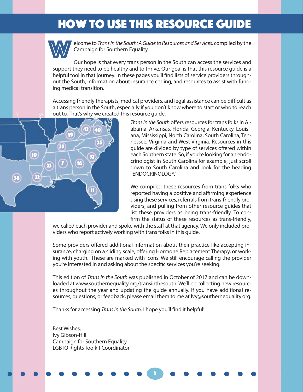## How To Use This Resource Guide How To Use This Resource Guide



elcome to *Trans in the South: A Guide to Resources and Services,* compiled by the Campaign for Southern Equality.

Our hope is that every trans person in the South can access the services and support they need to be healthy and to thrive. Our goal is that this resource guide is a helpful tool in that journey. In these pages you'll find lists of service providers throughout the South, information about insurance coding, and resources to assist with funding medical transition.

Accessing friendly therapists, medical providers, and legal assistance can be difficult as a trans person in the South, especially if you don't know where to start or who to reach out to. That's why we created this resource guide.



*Trans in the South* offers resources for trans folks in Alabama, Arkansas, Florida, Georgia, Kentucky, Louisiana, Mississippi, North Carolina, South Carolina, Tennessee, Virginia and West Virginia. Resources in this guide are divided by type of services offered within each Southern state. So, if you're looking for an endocrinologist in South Carolina for example, just scroll down to South Carolina and look for the heading "ENDOCRINOLOGY."

We compiled these resources from trans folks who reported having a positive and affirming experience using these services, referrals from trans-friendly providers, and pulling from other resource guides that list these providers as being trans-friendly. To confirm the status of these resources as trans-friendly,

we called each provider and spoke with the staff at that agency. We only included providers who report actively working with trans folks in this guide.

Some providers offered additional information about their practice like accepting insurance, charging on a sliding scale, offering Hormone Replacement Therapy, or working with youth. These are marked with icons. We still encourage calling the provider you're interested in and asking about the specific services you're seeking.

This edition of *Trans in the South* was published in October of 2017 and can be downloaded at www.southernequality.org/transinthesouth. We'll be collecting new resources throughout the year and updating the guide annually. If you have additional resources, questions, or feedback, please email them to me at Ivy@southernequality.org.

3

3

Thanks for accessing *Trans in the South*. I hope you'll find it helpful!

Best Wishes, Ivy Gibson-Hill Campaign for Southern Equality LGBTQ Rights Toolkit Coordinator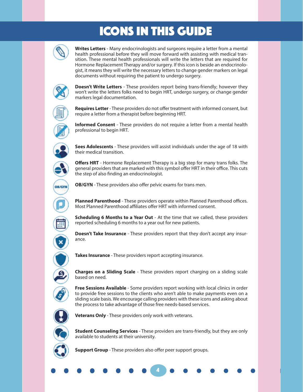## ICONS IN THIS GUIDE



**Writes Letters** - Many endocrinologists and surgeons require a letter from a mental health professional before they will move forward with assisting with medical transition. These mental health professionals will write the letters that are required for Hormone Replacement Therapy and/or surgery. If this icon is beside an endocrinologist, it means they will write the necessary letters to change gender markers on legal documents without requiring the patient to undergo surgery.



**Doesn't Write Letters** - These providers report being trans-friendly; however they won't write the letters folks need to begin HRT, undergo surgery, or change gender markers legal documentation.



**Requires Letter** - These providers do not offer treatment with informed consent, but require a letter from a therapist before beginning HRT.



**Informed Consent** - These providers do not require a letter from a mental health professional to begin HRT.



OB/GYN

**Sees Adolescents** - These providers will assist individuals under the age of 18 with their medical transition.

**Offers HRT** - Hormone Replacement Therapy is a big step for many trans folks. The general providers that are marked with this symbol offer HRT in their office. This cuts the step of also finding an endocrinologist.

**OB/GYN** - These providers also offer pelvic exams for trans men.

**Planned Parenthood** - These providers operate within Planned Parenthood offices. Most Planned Parenthood affiliates offer HRT with informed consent.

**Scheduling 6 Months to a Year Out** - At the time that we called, these providers reported scheduling 6 months to a year out for new patients.

**Doesn't Take Insurance** - These providers report that they don't accept any insurance.

**Takes Insurance** - These providers report accepting insurance.



**Charges on a Sliding Scale** - These providers report charging on a sliding scale based on need.

**Free Sessions Available** - Some providers report working with local clinics in order to provide free sessions to the clients who aren't able to make payments even on a sliding scale basis. We encourage calling providers with these icons and asking about the process to take advantage of those free needs-based services.



**Veterans Only** - These providers only work with veterans.



**Student Counseling Services** - These providers are trans-friendly, but they are only available to students at their university.

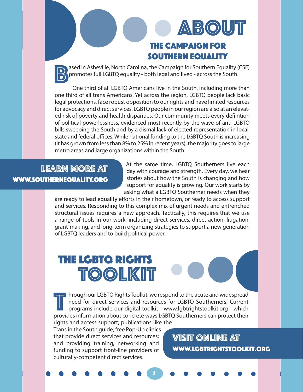## the campaign for southern equality **ABOUT**

ased in Asheville, North Carolina, the Campaign for Southern Equality (CSE)<br>promotes full LGBTQ equality - both legal and lived - across the South.<br>One third of all LGBTQ Americans live in the South including more than promotes full LGBTQ equality - both legal and lived - across the South.

One third of all LGBTQ Americans live in the South, including more than one third of all trans Americans. Yet across the region, LGBTQ people lack basic legal protections, face robust opposition to our rights and have limited resources for advocacy and direct services. LGBTQ people in our region are also at an elevated risk of poverty and health disparities. Our community meets every definition of political powerlessness, evidenced most recently by the wave of anti-LGBTQ bills sweeping the South and by a dismal lack of elected representation in local, state and federal offices. While national funding to the LGBTQ South is increasing (it has grown from less than 8% to 25% in recent years), the majority goes to large metro areas and large organizations within the South.

## LEARN MORE AT www.southernequality.org

At the same time, LGBTQ Southerners live each day with courage and strength. Every day, we hear stories about how the South is changing and how support for equality is growing. Our work starts by asking what a LGBTQ Southerner needs when they

are ready to lead equality efforts in their hometown, or ready to access support and services. Responding to this complex mix of urgent needs and entrenched structural issues requires a new approach. Tactically, this requires that we use a range of tools in our work, including direct services, direct action, litigation, grant-making, and long-term organizing strategies to support a new generation of LGBTQ leaders and to build political power.

## The LGBTQ RIGHTS TOOLKIT

I hrough our LGBTQ Rights Toolkit, we respond to the acute and widespread<br>need for direct services and resources for LGBTQ Southerners. Current<br>programs include our digital toolkit - www.lgbtrightstoolkit.org - which<br>provi need for direct services and resources for LGBTQ Southerners. Current programs include our digital toolkit - www.lgbtrightstoolkit.org - which provides information about concrete ways LGBTQ Southerners can protect their rights and access support; publications like the

55

Trans in the South guide; free Pop-Up clinics that provide direct services and resources; and providing training, networking and funding to support front-line providers of culturally-competent direct services.

VISIT ONLINE AT www.lgbtrightstoolkit.org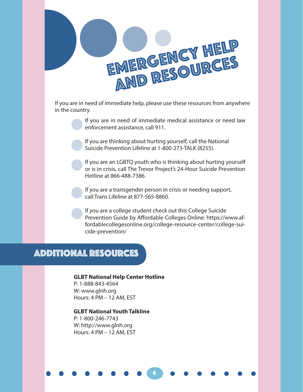

If you are in need of immediate help, please use these resources from anywhere in the country.

> If you are in need of immediate medical assistance or need law enforcement assistance, call 911.

If you are thinking about hurting yourself, call the National Suicide Prevention Lifeline at 1-800-273-TALK (8255).

If you are an LGBTQ youth who is thinking about hurting yourself or is in crisis, call The Trevor Project's 24-Hour Suicide Prevention Hotline at 866-488-7386.

If you are a transgender person in crisis or needing support, call Trans Lifeline at 877-565-8860.

If you are a college student check out this College Suicide Prevention Guide by Affordable Colleges Online: https://www.affordablecollegesonline.org/college-resource-center/college-suicide-prevention/

66

#### Additional Resources

#### **GLBT National Help Center Hotline**

P: 1-888-843-4564 W: www.glnh.org Hours: 4 PM – 12 AM, EST

**GLBT National Youth Talkline** P: 1-800-246-7743 W: http://www.glnh.org Hours: 4 PM – 12 AM, EST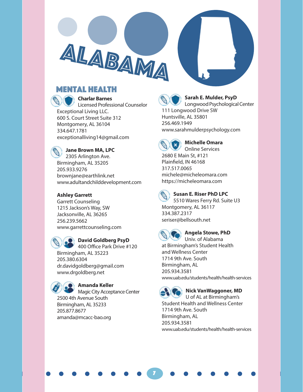



**Charlar Barnes** Licensed Professional Counselor Exceptional Living LLC. 600 S. Court Street Suite 312 Montgomery, AL 36104 334.647.1781

ALABAMA

exceptionalliving14@gmail.com



**Jane Brown MA, LPC**

2305 Arlington Ave. Birmingham, AL 35205 205.933.9276 brownjane@earthlink.net www.adultandchilddevelopment.com

#### **Ashley Garrett**

Garrett Counseling 1215 Jackson's Way, SW Jacksonville, AL 36265 256.239.5662 www.garrettcounseling.com



#### **David Goldberg PsyD**

400 Office Park Drive #120 Birmingham, AL 35223 205.380.6304 dr.davidgoldberg@gmail.com www.drgoldberg.net

#### **Amanda Keller**

Magic City Acceptance Center 2500 4th Avenue South Birmingham, AL 35233 205.877.8677 amanda@mcacc-bao.org



#### **Sarah E. Mulder, PsyD**

Longwood Psychological Center 111 Longwood Drive SW Huntsville, AL 35801 256.469.1949 www.sarahmulderpsychology.com



#### **Michelle Omara**

Online Services 2680 E Main St, #121 Plainfield, IN 46168 317.517.0065 michele@micheleomara.com https://micheleomara.com



#### **Susan E. Riser PhD LPC**

5510 Wares Ferry Rd. Suite U3 Montgomery, AL 36117 334.387.2317 seriser@bellsouth.net



7

#### **Angela Stowe, PhD**

Univ. of Alabama at Birmingham's Student Health and Wellness Center 1714 9th Ave. South Birmingham, AL 205.934.3581 www.uab.edu/students/health/health-services

#### **Nick VanWaggoner, MD**

U of AL at Birmingham's Student Health and Wellness Center 1714 9th Ave. South Birmingham, AL 205.934.3581 www.uab.edu/students/health/health-services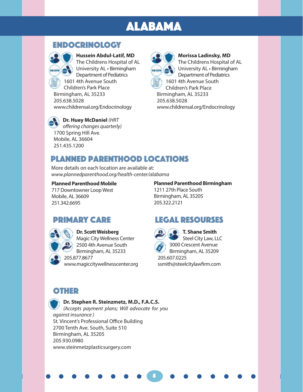## ALABAMA

#### ENDOCRINOLOGY



**Hussein Abdul-Latif, MD** The Childrens Hospital of AL **University AL · Birmingham** Department of Pediatrics 1601 4th Avenue South Children's Park Place Birmingham, AL 35233 205.638.5028

**Morissa Ladinsky, MD** The Childrens Hospital of AL University AL • Birmingham Department of Pediatrics 1601 4th Avenue South Children's Park Place Birmingham, AL 35233 205.638.5028 www.childrensal.org/Endocrinology

**Dr. Huey McDaniel** *(HRT offering changes quarterly)* 1700 Spring Hill Ave.

www.childrensal.org/Endocrinology

Mobile, AL 36604 251.435.1200

#### Planned Parenthood Locations

More details on each location are available at: *www.plannedparenthood.org/health-center/alabama*

#### **Planned Parenthood Mobile**

717 Downtowner Loop West Mobile, AL 36609 251.342.6695

#### **Planned Parenthood Birmingham**

1211 27th Place South Birmingham, AL 35205 205.322.2121

#### PRIMARY CARE



**Dr. Scott Weisberg**  Magic City Wellness Center 2500 4th Avenue South Birmingham, AL 35233 205.877.8677 www.magiccitywellnesscenter.org

#### Legal resourses



8

**T. Shane Smith** Steel City Law, LLC 3000 Crescent Avenue

Birmingham, AL 35209 205.607.0225 ssmith@steelcitylawfirm.com

#### **OTHER**

#### **Dr. Stephen R. Steinzmetz, M.D., F.A.C.S.**

*(Accepts payment plans; Will advocate for you against insurance )* St. Vincent's Professional Office Building 2700 Tenth Ave. South, Suite 510 Birmingham, AL 35205 205.930.0980 www.steinmetzplasticsurgery.com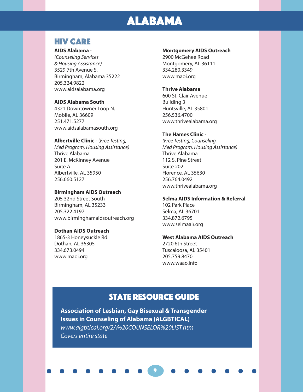## ALABAMA

#### HIV CARE

#### **AIDS Alabama** -

*(Counseling Services & Housing Assistance)* 3529 7th Avenue S. Birmingham, Alabama 35222 205.324.9822 www.aidsalabama.org

#### **AIDS Alabama South**

4321 Downtowner Loop N. Mobile, AL 36609 251.471.5277 www.aidsalabamasouth.org

#### **Albertville Clinic** - (*Free Testing,*

*Med Program, Housing Assistance)* Thrive Alabama 201 E. McKinney Avenue Suite A Albertville, AL 35950 256.660.5127

#### **Birmingham AIDS Outreach**

205 32nd Street South Birmingham, AL 35233 205.322.4197 www.birminghamaidsoutreach.org

#### **Dothan AIDS Outreach**

1865-3 Honeysuckle Rd. Dothan, AL 36305 334.673.0494 www.maoi.org

#### **Montgomery AIDS Outreach**

2900 McGehee Road Montgomery, AL 36111 334.280.3349 www.maoi.org

#### **Thrive Alabama**

600 St. Clair Avenue Building 3 Huntsville, AL 35801 256.536.4700 www.thrivealabama.org

#### **The Hames Clinic** -

*(Free Testing, Counseling, Med Program, Housing Assistance)* Thrive Alabama 112 S. Pine Street Suite 202 Florence, AL 35630 256.764.0492 www.thrivealabama.org

#### **Selma AIDS Information & Referral**

102 Park Place Selma, AL 36701 334.872.6795 www.selmaair.org

#### **West Alabama AIDS Outreach**

2720 6th Street Tuscaloosa, AL 35401 205.759.8470 www.waao.info

#### **STATE RESOURCE GUIDE**

9

**Association of Lesbian, Gay Bisexual & Transgender Issues in Counseling of Alabama (ALGBTICAL)** *www.algbtical.org/2A%20COUNSELOR%20LIST.htm Covers entire state*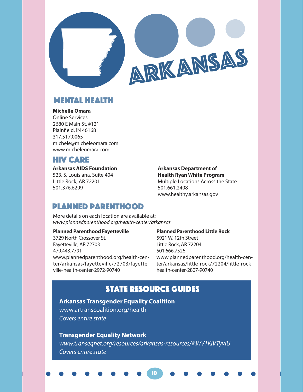

ARKANSAS

#### MENTAL HEALTH

#### **Michelle Omara**

Online Services 2680 E Main St, #121 Plainfield, IN 46168 317.517.0065 michele@micheleomara.com www.micheleomara.com

#### HIV CARE

#### **Arkansas AIDS Foundation**

523. S. Louisiana, Suite 404 Little Rock, AR 72201 501.376.6299

#### **Arkansas Department of Health Ryan White Program**

Multiple Locations Across the State 501.661.2408 www.healthy.arkansas.gov

#### Planned Parenthood

More details on each location are available at: *www.plannedparenthood.org/health-center/arkansas*

#### **Planned Parenthood Fayetteville**

3729 North Crossover St. Fayetteville, AR 72703 479.443.7791 www.plannedparenthood.org/health-center/arkansas/fayetteville/72703/fayetteville-health-center-2972-90740

#### **Planned Parenthood Little Rock**

5921 W. 12th Street Little Rock, AR 72204 501.666.7526 www.plannedparenthood.org/health-center/arkansas/little-rock/72204/little-rockhealth-center-2807-90740

#### State Resource guideS

#### **Arkansas Transgender Equality Coalition**

www.artranscoalition.org/health *Covers entire state*

#### **Transgender Equality Network**

*www.transeqnet.org/resources/arkansas-resources/#.WV1KIVTyvIU Covers entire state*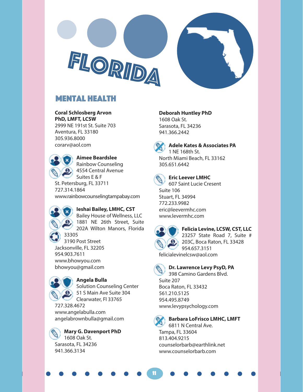



#### Mental Health

#### **Coral Schlosberg Arvon**

**PhD, LMFT, LCSW** 2999 NE 191st St. Suite 703 Aventura, FL 33180 305.936.8000 corarv@aol.com



**Aimee Beardslee** Rainbow Counseling

4554 Central Avenue Suites E & F

St. Petersburg, FL 33711 727.314.1864 www.rainbowcounselingtampabay.com

#### **Ieshai Bailey, LMHC, CST**

Bailey House of Wellness, LLC 1881 NE 26th Street, Suite 202A Wilton Manors, Florida

33305 3190 Post Street Jacksonville, FL 32205 954.903.7611 www.bhowyou.com bhowyou@gmail.com



#### **Angela Bulla**

Solution Counseling Center 51 S Main Ave Suite 304 Clearwater, Fl 33765

727.328.4672 www.angelabulla.com angelabrownbulla@gmail.com



#### **Deborah Huntley PhD**

1608 Oak St. Sarasota, FL 34236 941.366.2442



#### **Adele Kates & Associates PA** 1 NE 168th St.

North Miami Beach, FL 33162 305.651.6442



#### **Eric Leever LMHC**

607 Saint Lucie Cresent Suite 106 Stuart, FL 34994 772.233.9982 eric@leevermhc.com www.levermhc.com



#### **Felicia Levine, LCSW, CST, LLC**

23257 State Road 7, Suite # 203C, Boca Raton, FL 33428 954.657.3151

felicialevinelcsw@aol.com



#### **Dr. Lawrence Levy PsyD, PA**

398 Camino Gardens Blvd. Suite 207 Boca Raton, FL 33432 561.210.5125 954.495.8749 www.levypsychology.com



11

#### **Barbara LoFrisco LMHC, LMFT**

6811 N Central Ave. Tampa, FL 33604 813.404.9215 counselorbarb@earthlink.net www.counselorbarb.com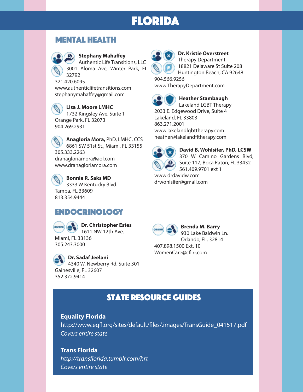#### Mental Health



#### **Stephany Mahaffey**

Authentic Life Transitions, LLC 3001 Aloma Ave, Winter Park, FL 32792

321.420.6095 www.authenticlifetransitions.com stephanymahaffey@gmail.com

**Lisa J. Moore LMHC**  1732 Kingsley Ave. Suite 1 Orange Park, FL 32073 904.269.2931

**Anagloria Mora,** PhD, LMHC, CCS 6861 SW 51st St., Miami, FL 33155 305.333.2263 dranagloriamora@aol.com www.dranagloriamora.com

**Bonnie R. Saks MD**  3333 W Kentucky Blvd. Tampa, FL 33609 813.354.9444

#### ENDOCRINOLOGY



**Dr. Sadaf Jeelani** 4340 W. Newberry Rd. Suite 301 Gainesville, FL 32607 352.372.9414



#### **Dr. Kristie Overstreet** Therapy Department 18821 Delaware St Suite 208

Huntington Beach, CA 92648 904.566.9256

www.TherapyDepartment.com



**Heather Stambaugh** Lakeland LGBT Therapy

2033 E. Edgewood Drive, Suite 4 Lakeland, FL 33803 863.271.2001 www.lakelandlgbttherapy.com heather@lakelandfltherapy.com



**David B. Wohlsifer, PhD, LCSW** 370 W Camino Gardens Blvd, Suite 117, Boca Raton, FL 33432 561.409.9701 ext 1 www.drdavidw.com

drwohlsifer@gmail.com



**Brenda M. Barry** 930 Lake Baldwin Ln. Orlando, FL. 32814 407.898.1500 Ext. 10 WomenCare@cfl.rr.com

#### **STATE RESOURCE GUIDES**

#### **Equality Florida**

http://www.eqfl.org/sites/default/files/.images/TransGuide\_041517.pdf *Covers entire state*

#### **Trans Florida**

*http://transflorida.tumblr.com/hrt Covers entire state*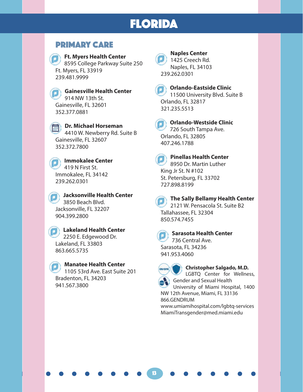#### PRIMARY CARE

**Ft. Myers Health Center** 8595 College Parkway Suite 250 Ft. Myers, FL 33919 239.481.9999

**Gainesville Health Center** 914 NW 13th St. Gainesville, FL 32601 352.377.0881

**Dr. Michael Horseman** 4410 W. Newberry Rd. Suite B Gainesville, FL 32607 352.372.7800

**Immokalee Center** 419 N First St. Immokalee, FL 34142 239.262.0301

**Jacksonville Health Center** 3850 Beach Blvd. Jacksonville, FL 32207 904.399.2800

**Lakeland Health Center** 2250 E. Edgewood Dr. Lakeland, FL 33803 863.665.5735

#### **Manatee Health Center**

1105 53rd Ave. East Suite 201 Bradenton, FL 34203 941.567.3800



**Naples Center** 1425 Creech Rd. Naples, FL 34103 239.262.0301



#### **Orlando-Eastside Clinic** 11500 University Blvd. Suite B Orlando, FL 32817 321.235.5513

**Orlando-Westside Clinic** 726 South Tampa Ave. Orlando, FL 32805 407.246.1788



#### **Pinellas Health Center** 8950 Dr. Martin Luther

King Jr St. N #102 St. Petersburg, FL 33702 727.898.8199



#### **The Sally Bellamy Health Center**

2121 W. Pensacola St. Suite B2 Tallahassee, FL 32304 850.574.7455



#### **Sarasota Health Center**

736 Central Ave. Sarasota, FL 34236 941.953.4060

13

#### **Christopher Salgado, M.D.** LGBTQ Center for Wellness,

Gender and Sexual Health University of Miami Hospital, 1400 NW 12th Avenue, Miami, FL 33136

866.GENDRUM www.umiamihospital.com/lgbtq-services MiamiTransgender@med.miami.edu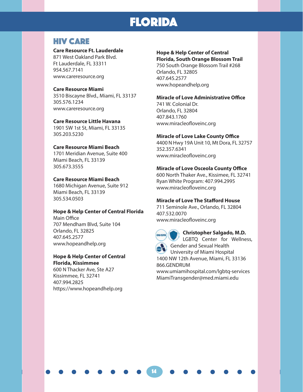#### HIV CARE

#### **Care Resource Ft. Lauderdale**

871 West Oakland Park Blvd. Ft Lauderdale, FL 33311 954.567.7141 www.careresource.org

#### **Care Resource Miami**

3510 Biscayne Blvd., Miami, FL 33137 305.576.1234 www.careresource.org

#### **Care Resource Little Havana**

1901 SW 1st St, Miami, FL 33135 305.203.5230

#### **Care Resource Miami Beach**

1701 Meridian Avenue, Suite 400 Miami Beach, FL 33139 305.673.3555

#### **Care Resource Miami Beach**

1680 Michigan Avenue, Suite 912 Miami Beach, FL 33139 305.534.0503

#### **Hope & Help Center of Central Florida**

Main Office 707 Mendham Blvd, Suite 104 Orlando, FL 32825 407.645.2577 www.hopeandhelp.org

#### **Hope & Help Center of Central Florida, Kissimmee**

600 N Thacker Ave, Ste A27 Kissimmee, FL 32741 407.994.2825 https://www.hopeandhelp.org

#### **Hope & Help Center of Central**

**Florida, South Orange Blossom Trail** 750 South Orange Blossom Trail #268 Orlando, FL 32805 407.645.2577 www.hopeandhelp.org

#### **Miracle of Love Administrative Office**

741 W. Colonial Dr. Orlando, FL 32804 407.843.1760 www.miracleofloveinc.org

#### **Miracle of Love Lake County Office**

4400 N Hwy 19A Unit 10, Mt Dora, FL 32757 352.357.6341 www.miracleofloveinc.org

#### **Miracle of Love Osceola County Office**

600 North Thaker Ave., Kissimee, FL 32741 Ryan White Program: 407.994.2995 www.miracleofloveinc.org

#### **Miracle of Love The Stafford House**

711 Seminole Ave., Orlando, FL 32804 407.532.0070 www.miracleofloveinc.org



14

#### **Christopher Salgado, M.D.**

LGBTQ Center for Wellness,

Gender and Sexual Health University of Miami Hospital

1400 NW 12th Avenue, Miami, FL 33136 866.GENDRUM

www.umiamihospital.com/lgbtq-services MiamiTransgender@med.miami.edu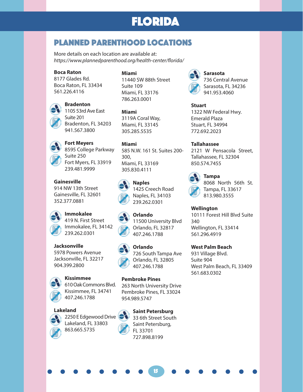#### Planned parenthood Locations

More details on each location are available at: *https://www.plannedparenthood.org/health-center/florida/*

#### **Boca Raton**

8177 Glades Rd. Boca Raton, FL 33434 561.226.4116



**Bradenton** 1105 53rd Ave East Suite 201 Bradenton, FL 34203 941.567.3800

**Fort Meyers** 8595 College Parkway Suite 250 Fort Myers, FL 33919 239.481.9999

**Gainesville** 914 NW 13th Street Gainesville, FL 32601 352.377.0881

> **Immokalee** 419 N. First Street Immokalee, FL 34142 239.262.0301

**Jacksonville** 5978 Powers Avenue Jacksonville, FL 32217 904.399.2800



610 Oak Commons Blvd. Kissimmee, FL 34741 407.246.1788

#### **Lakeland**



2250 E Edgewood Drive Lakeland, FL 33803 863.665.5735



11440 SW 88th Street Suite 109 Miami, FL 33176 786.263.0001

**Miami** 3119A Coral Way, Miami, FL 33145 305.285.5535

**Miami** 585 N.W. 161 St. Suites 200- 300, Miami, FL 33169 305.830.4111



**Naples** 1425 Creech Road Naples, FL 34103 239.262.0301







**Orlando** 726 South Tampa Ave Orlando, FL 32805 407.246.1788

#### **Pembroke Pines**

FL 33701 727.898.8199

263 North University Drive Pembroke Pines, FL 33024 954.989.5747



**Saint Petersburg** 33 6th Street South Saint Petersburg,

15



**Sarasota** 736 Central Avenue Sarasota, FL 34236 941.953.4060

**Stuart** 1322 NW Federal Hwy. Emerald Plaza Stuart, FL 34994 772.692.2023

**Tallahassee** 2121 W Pensacola Street, Tallahassee, FL 32304 850.574.7455

> **Tampa** 8068 North 56th St. Tampa, FL 33617 813.980.3555

#### **Wellington**

10111 Forest Hill Blvd Suite 340 Wellington, FL 33414 561.296.4919

#### **West Palm Beach**

931 Village Blvd. Suite 904 West Palm Beach, FL 33409 561.683.0302

Orlando, FL 32817 407.246.1788

**Orlando**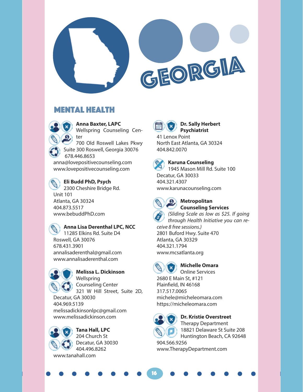

# GEORGIA

#### Mental Health

**Anna Baxter, LAPC** Wellspring Counseling Center 700 Old Roswell Lakes Pkwy Suite 300 Roswell, Georgia 30076 678.446.8653

anna@lovepositivecounseling.com www.lovepositivecounseling.com



#### **Eli Budd PhD, Psych**

2300 Cheshire Bridge Rd. Unit 101 Atlanta, GA 30324 404.873.5517 www.bebuddPhD.com



#### **Anna Lisa Derenthal LPC, NCC**

11285 Elkins Rd. Suite D4 Roswell, GA 30076 678.431.3901 annalisaderenthal@gmail.com www.annalisaderenthal.com



#### **Melissa L. Dickinson**

Wellspring Counseling Center 321 W Hill Street, Suite 2D, Decatur, GA 30030

404.969.5139 melissadickinsonlpc@gmail.com www.melissadickinson.com



**Tana Hall, LPC** 204 Church St Decatur, GA 30030 404.496.8262 www.tanahall.com



#### **Dr. Sally Herbert Psychiatrist**

41 Lenox Point North East Atlanta, GA 30324 404.842.0070



#### **Karuna Counseling** 1945 Mason Mill Rd. Suite 100

Decatur, GA 30033 404.321.4307 www.karunacounseling.com



#### **Metropolitan Counseling Services**

*(Sliding Scale as low as \$25. If going through Health Initiative you can re-*

*ceive 8 free sessions.)* 2801 Buford Hwy. Suite 470 Atlanta, GA 30329 404.321.1794 www.mcsatlanta.org



#### **Michelle Omara**

Online Services 2680 E Main St, #121 Plainfield, IN 46168 317.517.0065 michele@micheleomara.com https://micheleomara.com



16

#### **Dr. Kristie Overstreet** Therapy Department 18821 Delaware St Suite 208

Huntington Beach, CA 92648 904.566.9256 www.TherapyDepartment.com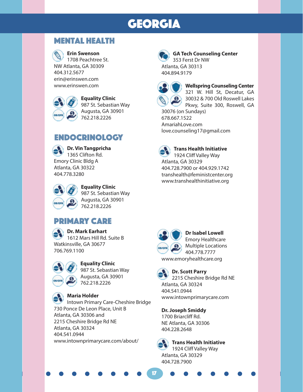## GEORGIA

#### Mental Health



#### **Erin Swenson**

1708 Peachtree St. NW Atlanta, GA 30309 404.312.5677 erin@erinswen.com www.erinswen.com



**Equality Clinic** 987 St. Sebastian Way Augusta, GA 30901 762.218.2226

#### **ENDOCRINOLOGY**



**Dr. Vin Tangpricha** 1365 Clifton Rd. Emory Clinic Bldg A Atlanta, GA 30322 404.778.3280



**Equality Clinic** 987 St. Sebastian Way Augusta, GA 30901 762.218.2226

#### PRIMARY CARE

**Dr. Mark Earhart** 1612 Mars Hill Rd. Suite B Watkinsville, GA 30677 706.769.1100



#### **Equality Clinic**

987 St. Sebastian Way Augusta, GA 30901 762.218.2226

#### **Maria Holder**

Intown Primary Care-Cheshire Bridge 730 Ponce De Leon Place, Unit B Atlanta, GA 30306 and 2215 Cheshire Bridge Rd NE Atlanta, GA 30324 404.541.0944 www.intownprimarycare.com/about/



#### **GA Tech Counseling Center** 353 Ferst Dr NW

Atlanta, GA 30313 404.894.9179



#### **Wellspring Counseling Center** 321 W. Hill St, Decatur, GA

30032 & 700 Old Roswell Lakes Pkwy, Suite 300, Roswell, GA 30076 (on Sundays)

678.667.1522 AmariahLove.com love.counseling17@gmail.com



**Trans Health Initiative** 1924 Cliff Valley Way Atlanta, GA 30329 404.728.7900 or 404.929.1742

transhealth@feministcenter.org www.transhealthinitiative.org



**Dr Isabel Lowell** Emory Healthcare Multiple Locations 404.778.7777 www.emoryhealthcare.org



17

#### **Dr. Scott Parry**

2215 Cheshire Bridge Rd NE Atlanta, GA 30324 404.541.0944 www.intownprimarycare.com

#### **Dr. Joseph Smiddy**

1700 Briarcliff Rd. NE Atlanta, GA 30306 404.228.2648



**Trans Health Initiative** 1924 Cliff Valley Way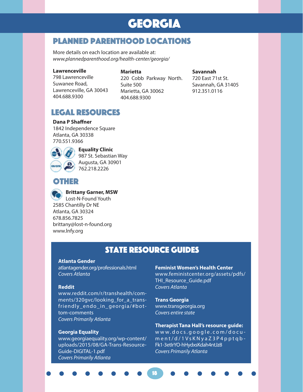## GEORGIA

#### Planned parenthood Locations

More details on each location are available at: *www.plannedparenthood.org/health-center/georgia/*

#### **Lawrenceville**

#### **Marietta**

798 Lawrenceville Suwanee Road, Lawrenceville, GA 30043 404.688.9300

220 Cobb Parkway North. Suite 500 Marietta, GA 30062 404.688.9300

#### **Savannah**

720 East 71st St. Savannah, GA 31405 912.351.0116

#### LEGAL RESOURCES

#### **Dana P Shaffner**

1842 Independence Square Atlanta, GA 30338 770.551.9366



**Equality Clinic** 987 St. Sebastian Way Augusta, GA 30901

#### **OTHER**



**Brittany Garner, MSW**

762.218.2226

Lost-N-Found Youth 2585 Chantilly Dr NE Atlanta, GA 30324 678.856.7825 brittany@lost-n-found.org www.lnfy.org

#### State Resource guideS

18

#### **Atlanta Gender**

atlantagender.org/professionals.html *Covers Atlanta*

#### **Reddit**

www.reddit.com/r/transhealth/comments/320gvc/looking\_for\_a\_transfriendly\_endo\_in\_georgia/#bottom-comments *Covers Primarily Atlanta*

#### **Georgia Equality**

www.georgiaequality.org/wp-content/ uploads/2015/08/GA-Trans-Resource-Guide-DIGITAL-1.pdf *Covers Primarily Atlanta*

#### **Feminist Women's Health Center**

www.feministcenter.org/assets/pdfs/ THI\_Resource\_Guide.pdf *Covers Atlanta*

#### **Trans Georgia**

www.transgeorgia.org *Covers entire state*

#### **Therapist Tana Hall's resource guide:**

www.docs.google.com/docu ment/d/1VsKNyaZ3P4pptqb - Fk1-3etIrYO-hHydxsKdah4ntJz8 *Covers Primarily Atlanta*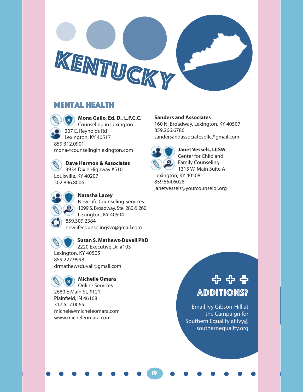

#### Mental Health



207 E. Reynolds Rd Lexington, KY 40517 mona@counselinginlexington.com

**Dave Harmon & Associates** 

3934 Dixie Highway #510 Louisville, KY 40207 502.896.8006



#### **Natasha Lacey**

New Life Counseling Services 1099 S. Broadway, Ste. 280 & 260 Lexington, KY 40504 859.309.2384

newlifecounselingsvc@gmail.com

#### **Susan S. Mathews-Duvall PhD**

2220 Executive Dr. #103 Lexington, KY 40505 859.227.9998 drmathewsduvall@gmail.com



#### **Michelle Omara**

Online Services 2680 E Main St, #121 Plainfield, IN 46168 317.517.0065 michele@micheleomara.com www.micheleomara.com

#### **Sanders and Associates**

160 N. Broadway, Lexington, KY 40507 859.266.6786 sandersandassociatespllc@gmail.com



19

**Janet Vessels, LCSW** Center for Child and Family Counseling 1315 W. Main Suite A Lexington, KY 40508 859.554.6028 janetvessels@yourcounselor.org

## Additions? + + +

Email Ivy Gibson-Hill at the Campaign for Southern Equality at ivy@ southernequality.org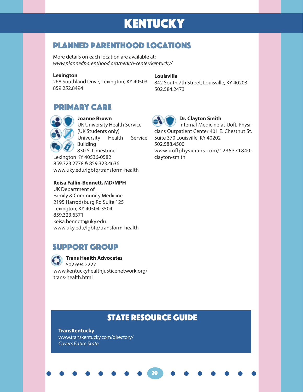## KENTUCKY

#### Planned parenthood Locations

More details on each location are available at: *www.plannedparenthood.org/health-center/kentucky/*

#### **Lexington**

268 Southland Drive, Lexington, KY 40503 859.252.8494

**Louisville**

842 South 7th Street, Louisville, KY 40203 502.584.2473

#### PRIMARY CARE



**Joanne Brown** UK University Health Service (UK Students only) University Health Service Building 830 S. Limestone Lexington KY 40536-0582 859.323.2778 & 859.323.4636 www.uky.edu/lgbtq/transform-health

#### **Keisa Fallin-Bennett, MD/MPH**

UK Department of Family & Community Medicine 2195 Harrodsburg Rd Suite 125 Lexington, KY 40504-3504 859.323.6371 keisa.bennett@uky.edu www.uky.edu/lgbtq/transform-health

#### SUPPORT GROUP

**Trans Health Advocates** 502.694.2227 www.kentuckyhealthjusticenetwork.org/ trans-health.html

#### 21

#### **Dr. Clayton Smith**

Internal Medicine at UofL Physicians Outpatient Center 401 E. Chestnut St. Suite 370 Louisville, KY 40202 502.588.4500 www.uoflphysicians.com/1235371840 clayton-smith

#### **STATE RESOURCE GUIDE**

20

**TransKentucky** www.transkentucky.com/directory/ *Covers Entire State*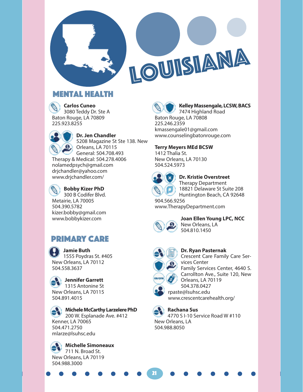

# LOUISIANA

#### Mental Health

**Carlos Cuneo** 3080 Teddy Dr. Ste A Baton Rouge, LA 70809 225.923.8255



**Dr. Jen Chandler** 5208 Magazine St Ste 138. New

Orleans, LA 70115 General: 504.708.493 Therapy & Medical: 504.278.4006 nolamedpsych@gmail.com drjchandler@yahoo.com www.drjchandler.com/

**Bobby Kizer PhD** 300 B Codifer Blvd. Metairie, LA 70005 504.390.5782 kizer.bobby@gmail.com www.bobbykizer.com

#### PRIMARY CARE

**Jamie Buth**  1555 Poydras St. #405 New Orleans, LA 70112 504.558.3637

**Jennifer Garrett**  1315 Antonine St New Orleans, LA 70115 504.891.4015

**Michele McCarthy Larzelere PhD** 200 W. Esplanade Ave. #412 Kenner, LA 70065 504.471.2750 mlarze@lsuhsc.edu





**Kelley Massengale, LCSW, BACS**

7474 Highland Road Baton Rouge, LA 70808 225.246.2359 kmassengale01@gmail.com www.counselingbatonrouge.com

**Terry Meyers MEd BCSW**

1412 Thalia St. New Orleans, LA 70130 504.524.5973



#### **Dr. Kristie Overstreet**

Therapy Department 18821 Delaware St Suite 208 Huntington Beach, CA 92648 904.566.9256

www.TherapyDepartment.com



**Joan Ellen Young LPC, NCC**  New Orleans, LA

504.810.1450



21

**Dr. Ryan Pasternak** Crescent Care Family Care Services Center Family Services Center, 4640 S.

Carrollton Ave., Suite 120, New Orleans, LA 70119 504.378.0427

rpaste@lsuhsc.edu www.crescentcarehealth.org/

**Rachana Sus**

4770 S I-10 Service Road W #110 New Orleans, LA 504.988.8050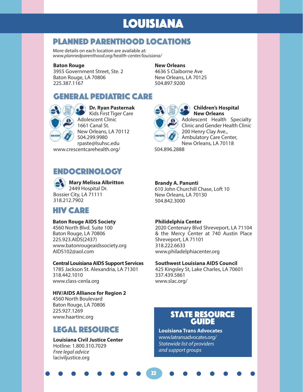## LOUISIANA

#### Planned parenthood Locations

More details on each location are available at: *www.plannedparenthood.org/health-center/louisiana/*

#### **Baton Rouge**

3955 Government Street, Ste. 2 Baton Rouge, LA 70806 225.387.1167

#### **New Orleans**

4636 S Claiborne Ave New Orleans, LA 70125 504.897.9200

#### GENERAL PEDIATRIC CARE



**Dr. Ryan Pasternak** Kids First Tiger Care Adolescent Clinic 1661 Canal St. New Orleans, LA 70112 504.299.9980 rpaste@lsuhsc.edu www.crescentcarehealth.org/

#### Endocrinology

**Mary Melissa Albritton**  2449 Hospital Dr. Bossier City, LA 71111 318.212.7902

#### HIV CARE

#### **Baton Rouge AIDS Society**

4560 North Blvd. Suite 100 Baton Rouge, LA 70806 225.923.AIDS(2437) www.batonrougeaidssociety.org AIDS102@aol.com

#### **Central Louisiana AIDS Support Services**

1785 Jackson St. Alexandria, LA 71301 318.442.1010 www.class-cenla.org

#### **HIV/AIDS Alliance for Region 2**

4560 North Boulevard Baton Rouge, LA 70806 225.927.1269 www.haartinc.org

#### Legal Resource

#### **Louisiana Civil Justice Center**  Hotline: 1.800.310.7029

*Free legal advice* laciviljustice.org

**Children's Hospital New Orleans** Adolescent Health Specialty Clinic and Gender Health Clinic

200 Henry Clay Ave., Ambulatory Care Center, New Orleans, LA 70118

504.896.2888

#### **Brandy A. Panunti**

610 John Churchill Chase, Loft 10 New Orleans, LA 70130 504.842.3000

#### **Philidelphia Center**

2020 Centenary Blvd Shreveport, LA 71104 & the Mercy Center at 740 Austin Place Shreveport, LA 71101 318.222.6633 www.philadelphiacenter.org

#### **Southwest Louisiana AIDS Council**

425 Kingsley St, Lake Charles, LA 70601 337.439.5861 www.slac.org/

#### **STATE RESOURCE GUIDE**

**Louisiana Trans Advocates** www.latransadvocates.org/ *Statewide list of providers and support groups*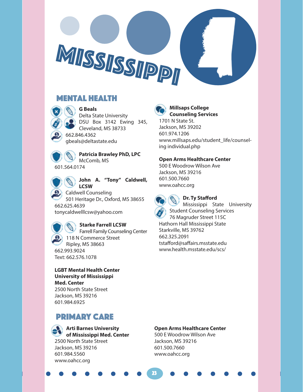#### Mental Health



**G Beals** Delta State University DSU Box 3142 Ewing 345, Cleveland, MS 38733 662.846.4362 gbeals@deltastate.edu

MISSISSIPPI



**Patricia Brawley PhD, LPC**  McComb, MS 601.564.0174



**John A. "Tony" Caldwell, LCSW**

Caldwell Counseling 501 Heritage Dr., Oxford, MS 38655 662.625.4639 tonycaldwelllcsw@yahoo.com

**Starke Farrell LCSW** Farrell Family Counseling Center 118 N Commerce Street Ripley, MS 38663 662.993.9024 Text: 662.576.1078

**LGBT Mental Health Center University of Mississippi Med. Center** 2500 North State Street Jackson, MS 39216 601.984.6925

#### PRIMARY CARE

**Arti Barnes University of Mississippi Med. Center**  2500 North State Street Jackson, MS 39216 601.984.5560 www.oahcc.org



#### **Millsaps College Counseling Services**

1701 N State St. Jackson, MS 39202 601.974.1206 www.millsaps.edu/student\_life/counseling individual.php

#### **Open Arms Healthcare Center**

500 E Woodrow Wilson Ave Jackson, MS 39216 601.500.7660 www.oahcc.org



#### **Dr. Ty Stafford**

Mississippi State University Student Counseling Services 76 Magruder Street 115C Hathorn Hall Mississippi State Starkville, MS 39762

662.325.2091 tstafford@saffairs.msstate.edu www.health.msstate.edu/scs/

#### **Open Arms Healthcare Center**

500 E Woodrow Wilson Ave Jackson, MS 39216 601.500.7660 www.oahcc.org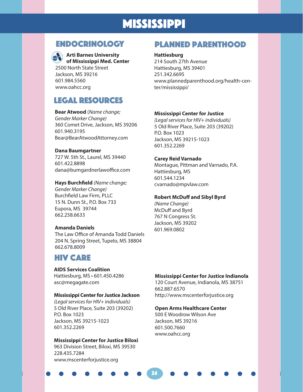## MISSISSIPPI



#### **Arti Barnes University**

**of Mississippi Med. Center**  2500 North State Street Jackson, MS 39216 601.984.5560 www.oahcc.org

#### LEGAL RESOURCES

**Bear Atwood** (*Name change; Gender Marker Change)* 360 Comet Drive, Jackson, MS 39206 601.940.3195 Bear@BearAtwoodAttorney.com

#### **Dana Baumgartner**

727 W. 5th St., Laurel, MS 39440 601.422.8898 dana@bumgardnerlawoffice.com

#### **Hays Burchfield** *(Name change;*

*Gender Marker Change)* Burchfield Law Firm, PLLC 15 N. Dunn St., P.O. Box 733 Eupora, MS 39744 662.258.6633

#### **Amanda Daniels**

The Law Office of Amanda Todd Daniels 204 N. Spring Street, Tupelo, MS 38804 662.678.8009

#### HIV CARE

#### **AIDS Services Coalition**

Hattiesburg, MS • 601.450.4286 asc@megagate.com

#### **Mississippi Center for Justice Jackson**

*(Legal services for HIV+ individuals)* 5 Old River Place, Suite 203 (39202) P.O. Box 1023 Jackson, MS 39215-1023 601.352.2269

#### **Mississippi Center for Justice Biloxi**

963 Division Street, Biloxi, MS 39530 228.435.7284 www.mscenterforjustice.org

#### ENDOCRINOLOGY Planned Parenthood

#### **Hattiesburg**

214 South 27th Avenue Hattiesburg, MS 39401 251.342.6695 www.plannedparenthood.org/health-center/mississippi/

#### **Mississippi Center for Justice**

*(Legal services for HIV+ individuals)* 5 Old River Place, Suite 203 (39202) P.O. Box 1023 Jackson, MS 39215-1023 601.352.2269

#### **Carey Reid Varnado**

Montague, Pittman and Varnado, P.A. Hattiesburg, MS 601.544.1234 cvarnado@mpvlaw.com

#### **Robert McDuff and Sibyl Byrd**

*(Name Change)* McDuff and Byrd 767 N Congress St. Jackson, MS 39202 601.969.0802

#### **Mississippi Center for Justice Indianola**

120 Court Avenue, Indianola, MS 38751 662.887.6570 http://www.mscenterforjustice.org

#### **Open Arms Healthcare Center**

500 E Woodrow Wilson Ave Jackson, MS 39216 601.500.7660 www.oahcc.org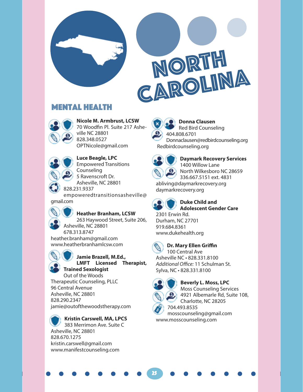

#### Mental Health



**Nicole M. Armbrust, LCSW** 70 Woodfin Pl. Suite 217 Asheville NC 28801 828.348.0527 OPTNicole@gmail.com



**Luce Beagle, LPC** Empowered Transitions Counseling 5 Ravenscroft Dr.

Asheville, NC 28801 828.231.9337

empoweredtransitionsasheville@ gmail.com



263 Haywood Street, Suite 206, Asheville, NC 28801 678.313.8747

heather.branham@gmail.com www.heatherbranhamlcsw.com



**Jamie Brazell, M.Ed., LMFT Licensed Therapist, Trained Sexologist**

Out of the Woods

Therapeutic Counseling, PLLC 96 Central Avenue Asheville, NC 28801 828.290.2347 jamie@outofthewoodstherapy.com

**Kristin Carswell, MA, LPCS** 383 Merrimon Ave. Suite C Asheville, NC 28801 828.670.1275 kristin.carswell@gmail.com www.manifestcounseling.com



**Donna Clausen** Red Bird Counseling 404.808.6701 Donnaclausen@redbirdcounseling.org

Redbirdcounseling.org



**Daymark Recovery Services** 1400 Willow Lane North Wilkesboro NC 28659 336.667.5151 ext. 4831 abliving@daymarkrecovery.org daymarkrecovery.org



#### **Duke Child and Adolescent Gender Care**

2301 Erwin Rd. Durham, NC 27701 919.684.8361 www.dukehealth.org



#### **Dr. Mary Ellen Griffin**

100 Central Ave Asheville NC • 828.331.8100 *Additional Office:* 11 Schulman St. Sylva, NC • 828.331.8100



25

**Beverly L. Moss, LPC** Moss Counseling Services 4921 Albemarle Rd, Suite 108, Charlotte, NC 28205

704.493.8535 mosscounseling@gmail.com www.mosscounseling.com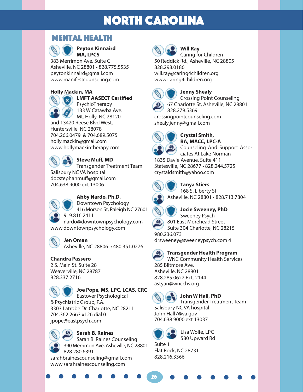#### Mental Health



**Peyton Kinnaird MA, LPCS**

383 Merrimon Ave. Suite C Asheville, NC 28801 • 828.775.5535 peytonkinnaird@gmail.com www.manifestcounseling.com

#### **Holly Mackin, MA**



#### **LMFT AASECT Certified** PsychloTherapy

133 W Catawba Ave. Mt. Holly, NC 28120

and 13420 Reese Blvd West, Huntersville, NC 28078 704.266.0479 & 704.689.5075 holly.mackin@gmail.com www.hollymackintherapy.com



Transgender Treatment Team Salisbury NC VA hospital docstephanmuff@gmail.com 704.638.9000 ext 13006



**Abby Nardo, Ph.D.**

Downtown Psychology 416 Morson St, Raleigh NC 27601 919.816.2411 nardo@downtownpsychology.com

www.downtownpsychology.com

#### **Jen Oman**

Asheville, NC 28806 • 480.351.0276

#### **Chandra Passero** 2 S. Main St. Suite 28

Weaverville, NC 28787 828.337.2716



#### **Joe Pope, MS, LPC, LCAS, CRC**

Eastover Psychological & Psychiatric Group, P.A. 3303 Latrobe Dr. Charlotte, NC 28211 704.362.2663 x126 dial 0 jpope@eastpsych.com

#### **Sarah B. Raines**

Sarah B. Raines Counseling 390 Merrimon Ave, Asheville, NC 28801 828.280.6391

sarahbrainescounseling@gmail.com www.sarahrainescounseling.com



## **Will Ray**

Caring for Children 50 Reddick Rd., Asheville, NC 28805 828.298.0186 will.ray@caring4children.org www.caring4children.org



#### **Jenny Shealy**

Crossing Point Counseling 67 Charlotte St, Asheville, NC 28801 828.279.5369

crossingpointcounseling.com shealy.jenny@gmail.com



#### **Crystal Smith, BA, MACC, LPC-A** Counseling And Support Associates At Lake Norman

1835 Davie Avenue, Suite 411 Statesville, NC 28677 • 828.244.5725 crystaldsmith@yahoo.com



#### **Tanya Stiers**



168 S. Liberty St. Asheville, NC 28801 • 828.713.7804



## **Jocie Sweeney, PhD**

Sweeney Psych 801 East Morehead Street Suite 304 Charlotte, NC 28215 980.236.073 drsweeney@sweeneypsych.com 4

#### **Transgender Health Program**

WNC Community Health Services 285 Biltmore Ave. Asheville, NC 28801 828.285.0622 Ext. 2144 astyan@wncchs.org



#### **John W Hall, PhD**

Transgender Treatment Team Salisbury NC VA hospital John.Hall7@va.gov 704.638.9000 ext 13037



26

Lisa Wolfe, LPC 580 Upward Rd

Suite 1 Flat Rock, NC 28731 828.216.3366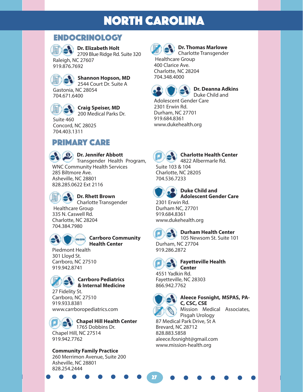#### Endocrinology

**Dr. Elizabeth Holt**

2709 Blue Ridge Rd. Suite 320 Raleigh, NC 27607 919.876.7692



**Shannon Hopson, MD** 2544 Court Dr. Suite A

Gastonia, NC 28054 704.671.6400



#### **Craig Speiser, MD**

200 Medical Parks Dr. Suite 460 Concord, NC 28025

704.403.1311

#### PRIMARY CARE



#### **Dr. Jennifer Abbott**

Transgender Health Program, WNC Community Health Services 285 Biltmore Ave. Asheville, NC 28801 828.285.0622 Ext 2116



#### **Dr. Rhett Brown**

Charlotte Transgender Healthcare Group 335 N. Caswell Rd. Charlotte, NC 28204 704.384.7980



#### **Carrboro Community Health Center**

Piedmont Health 301 Lloyd St. Carrboro, NC 27510 919.942.8741



#### **Carrboro Pediatrics & Internal Medicine**

27 Fidelity St. Carrboro, NC 27510 919.933.8381 www.carrboropediatrics.com



#### **Chapel Hill Health Center** 1765 Dobbins Dr.

Chapel Hill, NC 27514 919.942.7762

#### **Community Family Practice**

260 Merrimon Avenue, Suite 200 Asheville, NC 28801 828.254.2444



#### **Dr. Thomas Marlowe** Charlotte Transgender

 Healthcare Group 400 Clarice Ave. Charlotte, NC 28204 704.348.4000



**Dr. Deanna Adkins** Duke Child and

Adolescent Gender Care 2301 Erwin Rd. Durham, NC 27701 919.684.8361 www.dukehealth.org



#### **Charlotte Health Center** 4822 Albermarle Rd.

Suite 103 & 104 Charlotte, NC 28205 704.536.7233



#### **Duke Child and Adolescent Gender Care**

2301 Erwin Rd. Durham NC, 27701 919.684.8361 www.dukehealth.org

## **Durham Health Center**

105 Newsom St. Suite 101 Durham, NC 27704 919.286.2872



#### **Fayetteville Health**

**Center** 4551 Yadkin Rd. Fayetteville, NC 28303 866.942.7762



27

#### **Aleece Fosnight, MSPAS, PA-C, CSC, CSE**

Mission Medical Associates, Pisgah Urology

87 Medical Park Drive, St A Brevard, NC 28712 828.883.5858 aleece.fosnight@gmail.com www.mission-health.org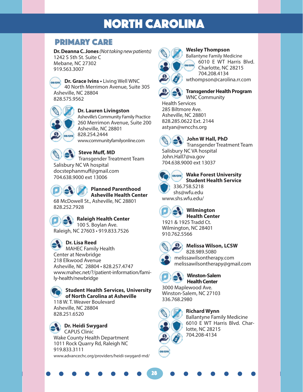#### PRIMARY CARE

**Dr. Deanna C. Jones** *(Not taking new patients)* 1242 S 5th St. Suite C Mebane, NC 27302 919.563.3007

**Dr. Grace Ivins •** Living Well WNC **OB/GYN** 40 North Merrimon Avenue, Suite 305 Asheville, NC 28804 828.575.9562



#### **Dr. Lauren Livingston**

Asheville's Community Family Practice 260 Merrimon Avenue, Suite 200 Asheville, NC 28801 828.254.2444 www.communityfamilyonline.com



**Steve Muff, MD**

Transgender Treatment Team Salisbury NC VA hospital docstephanmuff@gmail.com 704.638.9000 ext 13006

#### **Planned Parenthood Asheville Health Center**

68 McDowell St., Asheville, NC 28801 828.252.7928



#### **Raleigh Health Center**

100 S. Boylan Ave. Raleigh, NC 27603 • 919.833.7526

#### **Dr. Lisa Reed**

MAHEC Family Health Center at Newbridge 218 Elkwood Avenue Asheville, NC 28804 • 828.257.4747 www.mahec.net/?/patient-information/family-health/newbridge

> **Student Health Services, University of North Carolina at Asheville**

118 W. T. Weaver Boulevard Asheville, NC 28804 828.251.6520

**Dr. Heidi Swygard** CAPUS Clinic Wake County Health Department 1011 Rock Quarry Rd, Raleigh NC 919.833.3111 www.advancechc.org/providers/heidi-swygard-md/



#### **Wesley Thompson**

Ballantyne Family Medicine 6010 E WT Harris Blvd. Charlotte, NC 28215 704.208.4134 wthompson@carolina.rr.com



#### **Transgender Health Program** WNC Community

Health Services 285 Biltmore Ave. Asheville, NC 28801 828.285.0622 Ext. 2144 astyan@wncchs.org



## **John W Hall, PhD**

Transgender Treatment Team Salisbury NC VA hospital John.Hall7@va.gov 704.638.9000 ext 13037



#### **Wake Forest University Student Health Service** 336.758.5218

shs@wfu.edu www.shs.wfu.edu/



#### **Wilmington Health Center**

1921 & 1925 Tradd Ct. Wilmington, NC 28401 910.762.5566



**Melissa Wilson, LCSW** 828.989.5080 melissawilsontherapy.com melissawilsontherapy@gmail.com



#### **Winston-Salem Health Center**

lotte, NC 28215 704.208-4134

3000 Maplewood Ave. Winston-Salem, NC 27103 336.768.2980



28

**Richard Wynn** Ballantyne Family Medicine 6010 E WT Harris Blvd. Char-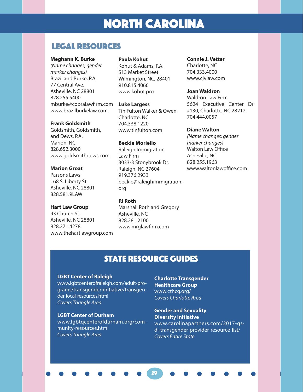#### LEGAL RESOURCES

#### **Meghann K. Burke**

*(Name changes; gender marker changes)* Brazil and Burke, P.A. 77 Central Ave. Asheville, NC 28801 828.255.5400 mburke@cobralawfirm.com www.brazilburkelaw.com

#### **Frank Goldsmith**

Goldsmith, Goldsmith, and Dews, P.A. Marion, NC 828.652.3000 www.goldsmithdews.com

#### **Marion Groat**

Parsons Laws 168 S. Liberty St. Asheville, NC 28801 828.581.9LAW

#### **Hart Law Group**

93 Church St. Asheville, NC 28801 828.271.4278 www.thehartlawgroup.com

#### **Paula Kohut**

Kohut & Adams, P.A. 513 Market Street Wilmington, NC, 28401 910.815.4066 www.kohut.pro

**Luke Largess** Tin Fulton Walker & Owen Charlotte, NC 704.338.1220 www.tinfulton.com

**Beckie Moriello** Raleigh Immigration Law Firm 3033-3 Stonybrook Dr. Raleigh, NC 27604 919.376.2933 beckie@raleighimmigration. org

#### **PJ Roth**

Marshall Roth and Gregory Asheville, NC 828.281.2100 www.mrglawfirm.com

**Connie J. Vetter**  Charlotte, NC 704.333.4000 www.cjvlaw.com

#### **Joan Waldron**

Waldron Law Firm 5624 Executive Center Dr #130, Charlotte, NC 28212 704.444.0057

#### **Diane Walton**

*(Name changes; gender marker changes)* Walton Law Office Asheville, NC 828.255.1963 www.waltonlawoffice.com

#### **STATE RESOURCE GUIDES**

29

#### **LGBT Center of Raleigh**

www.lgbtcenterofraleigh.com/adult-programs/transgender-initiative/transgender-local-resources.html *Covers Triangle Area*

#### **LGBT Center of Durham**

www.lgbtqcenterofdurham.org/community-resources.html *Covers Triangle Area*

**Charlotte Transgender Healthcare Group** www.cthcg.org/ *Covers Charlotte Area*

**Gender and Sexuality Diversity Initiative** www.carolinapartners.com/2017-gsdi-transgender-provider-resource-list/ *Covers Entire State*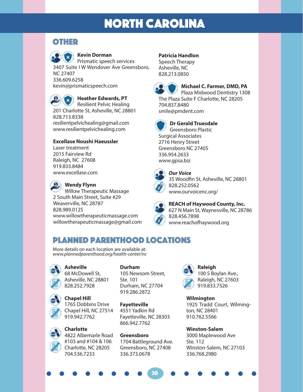#### **OTHER**

#### **Kevin Dorman**

Prismatic speech services 3407 Suite I W Wendover Ave Greensboro, NC 27407 336.609.6258 kevin@prismaticspeech.com



#### **Heather Edwards, PT**

Resilient Pelvic Healing 201 Charlotte St, Asheville, NC 28801 828.713.8338 resilientpelvichealing@gmail.com www.resilientpelvichealing.com

#### **Excellase Noushi Haeussler**

Laser treatment 2015 Fairview Rd Raleigh, NC 27608 919.833.8484 www.excellase.com

#### **Wendy Flynn**

Willow Therapeutic Massage 2 South Main Street, Suite #29 Weaverville, NC 28787 828.989.0125 www.willowtherapeuticmassage.com willowtherapeuticmassage@gmail.com

#### **Patricia Handlon**

Speech Therapy Asheville, NC 828.213.0850



#### **Michael C. Farmer, DMD, PA**

Plaza Midwood Dentistry 1308 The Plaza Suite F Charlotte, NC 28205 704.837.8480 smile@pmdent.com



#### **Dr Gerald Truesdale** Greensboro Plastic

Surgical Associates 2716 Henry Street Greensboro NC 27405 336.954.2633 www.gpsa.biz



#### *Our Voice*

35 Woodfin St, Asheville, NC 28801 828.252.0562 www.ourvoicenc.org/



#### **REACH of Haywood County, Inc.** 627 N Main St, Waynesville, NC 28786 828.456.7898

www.reachofhaywood.org

#### Planned parenthood Locations

More details on each location are available at: *www.plannedparenthood.org/health-center/nc*

#### **Asheville**

68 McDowell St, Asheville, NC 28801 828.252.7928



**Chapel Hill** 1765 Dobbins Drive Chapel Hill, NC 27514 919.942.7762

**Charlotte** 4822 Albemarle Road #103 and #104 & 106 Charlotte, NC 28205 704.536.7233

**Durham** 105 Newsom Street, Ste. 101 Durham, NC 27704 919.286.2872

**Fayetteville** 4551 Yadkin Rd Fayetteville, NC 28303 866.942.7762

**Greensboro** 1704 Battleground Ave. Greensboro, NC 27408 336.373.0678

30



**Wilmington** 1925 Tradd Court, Wilmington, NC 28401 910.762.5566

**Winston-Salem** 3000 Maplewood Ave Ste. 112 Winston-Salem, NC 27103 336.768.2980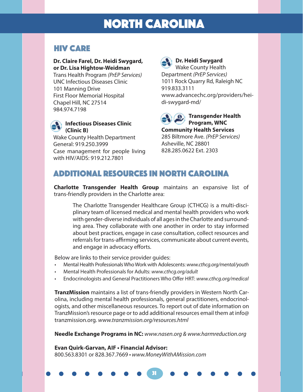#### HIV CARE

#### **Dr. Claire Farel, Dr. Heidi Swygard, or Dr. Lisa Hightow-Weidman**

Trans Health Program *(PrEP Services)* UNC Infectious Diseases Clinic 101 Manning Drive First Floor Memorial Hospital Chapel Hill, NC 27514 984.974.7198



Wake County Health Department General: 919.250.3999 Case management for people living with HIV/AIDS: 919.212.7801

## **Dr. Heidi Swygard**

Wake County Health Department *(PrEP Services)* 1011 Rock Quarry Rd, Raleigh NC 919.833.3111 www.advancechc.org/providers/heidi-swygard-md/



**Program, WNC Community Health Services**

285 Biltmore Ave. *(PrEP Services)* Asheville, NC 28801 828.285.0622 Ext. 2303

#### ADDITIONAL resources in north carolina

**Charlotte Transgender Health Group** maintains an expansive list of trans-friendly providers in the Charlotte area:

The Charlotte Transgender Healthcare Group (CTHCG) is a multi-disciplinary team of licensed medical and mental health providers who work with gender-diverse individuals of all ages in the Charlotte and surrounding area. They collaborate with one another in order to stay informed about best practices, engage in case consultation, collect resources and referrals for trans-affirming services, communicate about current events, and engage in advocacy efforts.

Below are links to their service provider guides:

- Mental Health Professionals Who Work with Adolescents: *www.cthcg.org/mental/youth*
- Mental Health Professionals for Adults: *www.cthcg.org/adult*
- Endocrinologists and General Practitioners Who Offer HRT: *www.cthcg.org/medical*

**TranzMission** maintains a list of trans-friendly providers in Western North Carolina, including mental health professionals, general practitioners, endocrinologists, and other miscellaneous resources. To report out of date information on TranzMission's resource page or to add additional resources email them at info@ tranzmission.org. *www.tranzmission.org/resources.html*

**Needle Exchange Programs in NC:** *www.nasen.org & www.harmreduction.org*

31

**Evan Quirk-Garvan, AIF • Financial Advisor:** 800.563.8301 or 828.367.7669 *• www.MoneyWithAMission.com*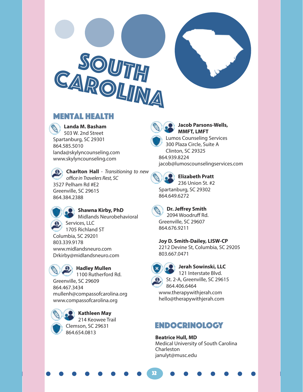



**Landa M. Basham** 503 W. 2nd Street Spartanburg, SC 29301 864.585.5010 landa@skylyncounseling.com www.skylyncounseling.com

**Charlton Hall** - *Transitioning to new office in Travelers Rest, SC*  3527 Pelham Rd #E2 Greenville, SC 29615 864.384.2388



**Shawna Kirby, PhD**

Midlands Neurobehavioral Services, LLC 1705 Richland ST Columbia, SC 29201 803.339.9178 www.midlandsneuro.com Drkirby@midlandsneuro.com



**Hadley Mullen**

1100 Rutherford Rd. Greenville, SC 29609 864.467.3434 mullenh@compassofcarolina.org www.compassofcarolina.org



**Kathleen May** 214 Keowee Trail Clemson, SC 29631

864.654.0813



#### **Jacob Parsons-Wells, MMFT, LMFT**

Lumos Counseling Services 300 Plaza Circle, Suite A Clinton, SC 29325 864.939.8224 jacob@lumoscounselingservices.com

**Elizabeth Pratt**  236 Union St. #2

Spartanburg, SC 29302 864.649.6272



**Dr. Jeffrey Smith** 2094 Woodruff Rd. Greenville, SC 29607 864.676.9211

**Joy D. Smith-Dailey, LISW-CP** 2212 Devine St, Columbia, SC 29205 803.667.0471



32

**Jerah Sowinski, LLC**

121 Interstate Blvd. St. 2-A, Greenville, SC 29615 864.406.6464 www.therapywithjerah.com

hello@therapywithjerah.com

#### ENDOCRINOLOGY

**Beatrice Hull, MD** Medical University of South Carolina **Charleston** janulyt@musc.edu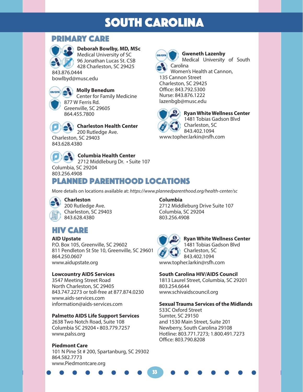## SOUTH CAROLINA

#### PRIMARY CARE



**Deborah Bowlby, MD, MSc**

Medical University of SC 96 Jonathan Lucas St. CSB 428 Charleston, SC 29425

843.876.0444 bowlbyd@musc.edu



**Molly Benedum** Center for Family Medicine 877 W Ferris Rd. Greenville, SC 29605 864.455.7800



**Charleston Health Center** 200 Rutledge Ave. Charleston, SC 29403



843.628.4380

**Columbia Health Center** 2712 Middleburg Dr. • Suite 107

Columbia, SC 29204 803.256.4908

#### Planned parenthood locations

More details on locations available at: *https://www.plannedparenthood.org/health-center/sc*

#### **Charleston**

200 Rutledge Ave. Charleston, SC 29403 843.628.4380

## HIV Care

#### **AID Upstate**

P.O. Box 105, Greenville, SC 29602 811 Pendleton St Ste 10, Greenville, SC 29601 864.250.0607 www.aidupstate.org

#### **Lowcountry AIDS Services**

3547 Meeting Street Road North Charleston, SC 29405 843.747.2273 or toll-free at 877.874.0230 www.aids-services.com information@aids-services.com

#### **Palmetto AIDS Life Support Services**

2638 Two Notch Road, Suite 108 Columbia SC 29204 • 803.779.7257 www.palss.org

#### **Piedmont Care**

101 N Pine St # 200, Spartanburg, SC 29302 864.582.7773 www.Piedmontcare.org

#### **Columbia**

2712 Middleburg Drive Suite 107 Columbia, SC 29204 803.256.4908

33

**Ryan White Wellness Center**  1481 Tobias Gadson Blvd Charleston, SC 843.402.1094 www.topher.larkin@rsfh.com

#### **South Carolina HIV/AIDS Council**

1813 Laurel Street, Columbia, SC 29201 803.254.6644 www.schivaidscouncil.org

#### **Sexual Trauma Services of the Midlands**

533C Oxford Street Sumter, SC 29150 and 1530 Main Street, Suite 201 Newberry, South Carolina 29108 Hotline: 803.771.7273; 1.800.491.7273 Office: 803.790.8208



Carolina

135 Cannon Street Charleston, SC 29425



**Ryan White Wellness Center**  1481 Tobias Gadson Blvd Charleston, SC 843.402.1094

**Gweneth Lazenby**

Women's Health at Cannon,

Medical University of South

www.topher.larkin@rsfh.com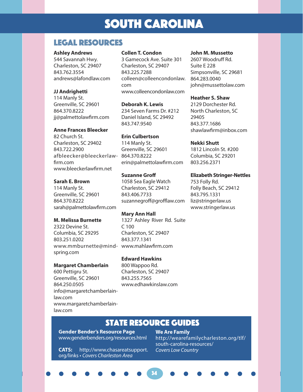## SOUTH CAROLINA

#### LEGAL RESOURCES

#### **Ashley Andrews**

544 Savannah Hwy. Charleston, SC 29407 843.762.3554 andrews@lafondlaw.com

#### **JJ Andrighetti**

114 Manly St. Greenville, SC 29601 864.370.8222 jj@palmettolawfirm.com

#### **Anne Frances Bleecker**

82 Church St. Charleston, SC 29402 843.722.2900 afbleecker@bleeckerlaw-864.370.8222 firm.com www.bleeckerlawfirm.net

#### **Sarah E. Brown**

114 Manly St. Greenville, SC 29601 864.370.8222 sarah@palmettolawfirm.com

#### **M. Melissa Burnette**

2322 Devine St. Columbia, SC 29295 803.251.0202 www.mmburnette@mind-www.mahlawfirm.com spring.com

#### **Margaret Chamberlain**

600 Pettigru St. Greenville, SC 29601 864.250.0505 info@margaretchamberlainlaw.com www.margaretchamberlainlaw.com

#### **Collen T. Condon**

3 Gamecock Ave. Suite 301 Charleston, SC 29407 843.225.7288 colleen@colleencondonlaw. com www.colleencondonlaw.com

**Deborah K. Lewis** 234 Seven Farms Dr. #212 Daniel Island, SC 29492 843.747.9540

#### **Erin Culbertson**

114 Manly St. Greenville, SC 29601 erin@palmettolawfirm.com

#### **Suzanne Groff**

1058 Sea Eagle Watch Charleston, SC 29412 843.406.7733 suzannegroff@grofflaw.com

**Mary Ann Hall**  1327 Ashley River Rd. Suite C 100 Charleston, SC 29407 843.377.1341

#### **Edward Hawkins**

800 Wappoo Rd. Charleston, SC 29407 843.255.7565 www.edhawkinslaw.com

#### **John M. Mussetto**

2607 Woodruff Rd. Suite E 228 Simpsonville, SC 29681 864.283.0040 john@mussettolaw.com

#### **Heather S. Shaw**

2129 Dorchester Rd. North Charleston, SC 29405 843.377.1686 shawlawfirm@inbox.com

#### **Nekki Shutt**

1812 Lincoln St. #200 Columbia, SC 29201 803.256.2371

#### **Elizabeth Stringer-Nettles**  753 Folly Rd.

Folly Beach, SC 29412 843.795.1331 liz@stringerlaw.us www.stringerlaw.us

#### **STATE RESOURCE GUIDES**

34

**Gender Bender's Resource Page** www.genderbenders.org/resources.html

**CATS:** http://www.chasareatsupport. org/links • *Covers Charleston Area*

**We Are Family** http://wearefamilycharleston.org/tlf/ south-carolina-resources/ *Covers Low Country*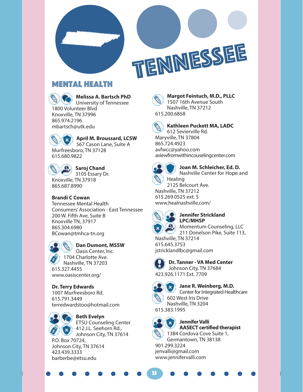



#### Mental Health





**April M. Broussard, LCSW**

567 Cason Lane, Suite A Murfreesboro, TN 37128 615.680.9822



#### **Saroj Chand**

3105 Essary Dr. Knoxville, TN 37918 865.687.8990

#### **Brandi C Cowan**

Tennessee Mental Health Consumers' Association - East Tennessee 200 W. Fifth Ave, Suite B Knoxville TN, 37917 865.304.6980 BCowan@tmhca-tn.org

#### **Dan Dumont, MSSW**

Oasis Center, Inc. 1704 Charlotte Ave. Nashville, TN 37203 615.327.4455 www.oasiscenter.org/

**Dr. Terry Edwards** 1007 Murfreesboro Rd. 615.791.3449 terredwardstoo@hotmail.com



#### **Beth Evelyn**

ETSU Counseling Center 412 J.L. Seehorn Rd., Johnson City, TN 37614

P.O. Box 70724, Johnson City, TN 37614 423.439.3333 barberbe@etsu.edu

#### **Margot Feintuch, M.D., PLLC** 1507 16th Avenue South Nashville, TN 37212 615.200.6858



#### **Kathleen Puckett MA, LADC** 612 Sevierville Rd.

Maryville, TN 37804 865.724.4923 avfwcc@yahoo.com aviewfromwithincouselingcenter.com



#### **Joan M. Schleicher, Ed. D.**

Nashville Center for Hope and

Healing 2125 Belcourt Ave. Nashville, TN 37212 615.269.0525 ext. 5 www.healnashville.com/



#### **Jennifer Strickland LPC/MHSP**

Momentum Counseling, LLC 211 Donelson Pike, Suite 113,

Nashville, TN 37214 615.645.3753 jstricklandlbc@gmail.com



**Dr. Tanner - VA Med Center**  Johnson City, TN 37684 423.926.1171 Ext. 7709



**Jane R. Weinberg, M.D.** Center for Integrated Healthcare 602 West Iris Drive Nashville, TN 3204 615.383.1995



35

#### **Jennifer Valli AASECT certified therapist** 1384 Cordova Cove Suite 1, Germantown, TN 38138

901.299.3224 jenvalli@gmail.com www.jennifervalli.com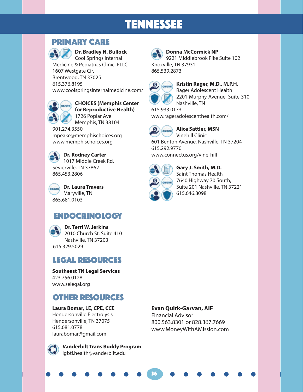## TENNESSEE

#### PRIMARY CARE



#### **Dr. Bradley N. Bullock**

Cool Springs Internal Medicine & Pediatrics Clinic, PLLC 1607 Westgate Cir. Brentwood, TN 37025 615.376.8195 www.coolspringsinternalmedicine.com/



#### **CHOICES (Memphis Center for Reproductive Health)**

1726 Poplar Ave Memphis, TN 38104

901.274.3550 mpeake@memphischoices.org www.memphischoices.org



**Dr. Rodney Carter** 1017 Middle Creek Rd. Sevierville, TN 37862 865.453.2806

**Dr. Laura Travers OB/GYN** Maryville, TN 865.681.0103

## ENDOCRINOLOGY

**Dr. Terri W. Jerkins** 2010 Church St. Suite 410 Nashville, TN 37203 615.329.5029

#### LEGAL RESOURCES

**Southeast TN Legal Services** 423.756.0128 www.selegal.org

#### Other RESOURCES

**Laura Bomar, LE, CPE, CCE** Hendersonville Electrolysis Hendersonville, TN 37075 615.681.0778 laurabomar@gmail.com



**Vanderbilt Trans Buddy Program** lgbti.health@vanderbilt.edu



#### **Donna McCormick NP**

9221 Middlebrook Pike Suite 102 Knoxville, TN 37931 865.539.2873



#### **Kristin Rager, M.D., M.P.H.** Rager Adolescent Health 2201 Murphy Avenue, Suite 310 Nashville, TN

615.933.0173 www.rageradolescenthealth.com/



Vinehill Clinic 601 Benton Avenue, Nashville, TN 37204 615.292.9770

www.connectus.org/vine-hill



**Gary J. Smith, M.D.** Saint Thomas Health 7640 Highway 70 South, Suite 201 Nashville, TN 37221 615.646.8098

#### **Evan Quirk-Garvan, AIF**

36

Financial Advisor 800.563.8301 or 828.367.7669 www.MoneyWithAMission.com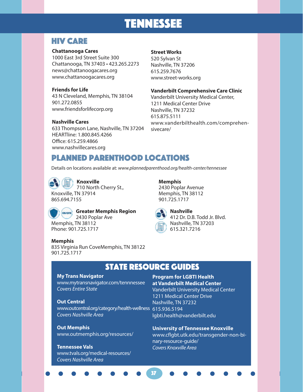## TENNESSEE

#### HIV Care

#### **Chattanooga Cares**

1000 East 3rd Street Suite 300 Chattanooga, TN 37403 • 423.265.2273 news@chattanoogacares.org www.chattanoogacares.org

#### **Friends for Life**

43 N Cleveland, Memphis, TN 38104 901.272.0855 www.friendsforlifecorp.org

#### **Nashville Cares**

633 Thompson Lane, Nashville, TN 37204 HEARTline: 1.800.845.4266 Office: 615.259.4866 www.nashvillecares.org

#### **Street Works**

520 Sylvan St Nashville, TN 37206 615.259.7676 www.street-works.org

#### **Vanderbilt Comprehensive Care Clinic**

Vanderbilt University Medical Center, 1211 Medical Center Drive Nashville, TN 37232 615.875.5111 www.vanderbilthealth.com/comprehensivecare/

#### Planned parenthood locations

Details on locations available at: *www.plannedparenthood.org/health-center/tennessee*

**Knoxville** 710 North Cherry St.,

Knoxville, TN 37914 865.694.7155

Phone: 901.725.1717





**Greater Memphis Region** 2430 Poplar Ave Memphis, TN 38112

#### **Memphis**

835 Virginia Run CoveMemphis, TN 38122 901.725.1717

## 901.725.1717



**Nashville** 412 Dr. D.B. Todd Jr. Blvd. Nashville, TN 37203 615.321.7216

#### **STATE RESOURCE GUIDES**

37

#### **My Trans Navigator**

www.mytransnavigator.com/tennnessee *Covers Entire State*

#### **Out Central**

www.outcentral.org/category/health-wellness 615.936.5194 *Covers Nashville Area*

**Out Memphis** www.outmemphis.org/resources/

#### **Tennessee Vals**

www.tvals.org/medical-resources/ *Covers Nashville Area*

#### **Program for LGBTI Health at Vanderbilt Medical Center**

Vanderbilt University Medical Center 1211 Medical Center Drive Nashville, TN 37232 lgbti.health@vanderbilt.edu

#### **University of Tennessee Knoxville**

www.cflgbt.utk.edu/transgender-non-binary-resource-guide/ *Covers Knoxville Area*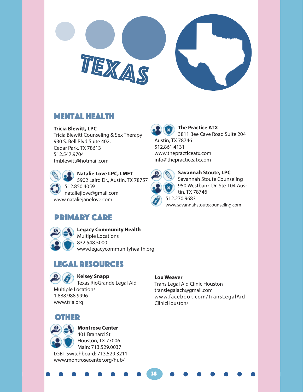

#### Mental Health

#### **Tricia Blewitt, LPC**

Tricia Blewitt Counseling & Sex Therapy 930 S. Bell Blvd Suite 402, Cedar Park, TX 78613 512.547.9704 tmblewitt@hotmail.com

## **Natalie Love LPC, LMFT**

5902 Laird Dr., Austin, TX 78757 512.850.4059

nataliejlove@gmail.com www.nataliejanelove.com



**The Practice ATX**  $\boldsymbol{\mathsf{x}}$ 3811 Bee Cave Road Suite 204 Austin, TX 78746 512.861.4131 www.thepracticeatx.com info@thepracticeatx.com



#### **Savannah Stoute, LPC** Savannah Stoute Counseling 950 Westbank Dr. Ste 104 Austin, TX 78746 512.270.9683

www.savannahstoutecounseling.com

## PRIMARY CARE



**Legacy Community Health** Multiple Locations 832.548.5000

www.legacycommunityhealth.org

## Legal resources

#### **Kelsey Snapp**

Texas RioGrande Legal Aid Multiple Locations 1.888.988.9996 www.trla.org

#### **Lou Weaver**

38

Trans Legal Aid Clinic Houston translegalach@gmail.com www.facebook.com/TransLegalAid-ClinicHouston/

#### OTHER



**Montrose Center** 401 Branard St. Houston, TX 77006 Main: 713.529.0037 LGBT Switchboard: 713.529.3211 www.montrosecenter.org/hub/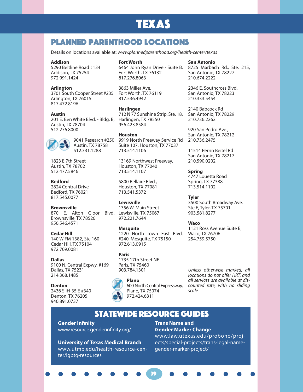## TEXAS

#### Planned parenthood locations

Details on locations available at: *www.plannedparenthood.org/health-center/texas*

#### **Addison**

5290 Beltline Road #134 Addison, TX 75254 972.991.1424

#### **Arlington**

3701 South Cooper Street #235 Fort Worth, TX 76119 Arlington, TX 76015 817.472.8196

#### **Austin**

201 E. Ben White Blvd. - Bldg. B, Harlingen, TX 78550 Austin, TX 78704 512.276.8000



1823 E 7th Street Austin, TX 78702 512.477.5846

#### **Bedford**

2824 Central Drive Bedford, TX 76021 817.545.0077

#### **Brownsville**

870 E. Alton Gloor Blvd. Lewisville, TX 75067 Brownsville, TX 78526 956.546.4571

#### **Cedar Hill**

140 W FM 1382, Ste 160 Cedar Hill, TX 75104 972.709.0081

#### **Dallas**

9100 N. Central Expwy, #169 Dallas, TX 75231 214.368.1485

#### **Denton**

2436 S IH-35 E #340 Denton, TX 76205 940.891.0737

#### **Fort Worth**

6464 John Ryan Drive - Suite B, Fort Worth, TX 76132 817.276.8063

3863 Miller Ave. 817.536.4942

#### **Harlingen**

712 N 77 Sunshine Strip, Ste. 18, San Antonio, TX 78229 956.423.8584

#### **Houston**

9041 Research #250 9919 North Freeway Service Rd Suite 107, Houston, TX 77037 713.514.1106

> 13169 Northwest Freeway, Houston, TX 77040 713.514.1107

5800 Bellaire Blvd., Houston, TX 77081 713.541.5372

#### **Lewisville**

1356 W. Main Street 972.221.7644

#### **Mesquite**

1220 North Town East Blvd. Waco, TX 76706 #240, Mesquite, TX 75150 972.613.0915

#### **Paris**

1735 17th Street NE Paris, TX 75460 903.784.1301



**Plano** 600 North Central Expressway, Plano, TX 75074 972.424.6311

**San Antonio** 8725 Marbach Rd., Ste. 215, San Antonio, TX 78227 210.674.2222

2346 E. Southcross Blvd. San Antonio, TX 78223 210.333.5454

2140 Babcock Rd 210.736.2262

920 San Pedro Ave., San Antonio, TX 78212 210.736.2475

11514 Perrin Beitel Rd San Antonio, TX 78217 210.590.0202

**Spring** 4747 Louetta Road Spring, TX 77388 713.514.1102

#### **Tyler**

3500 South Broadway Ave. Ste E, Tyler, TX 75701 903.581.8277

#### **Waco**

1121 Ross Avenue Suite B, 254.759.5750

*Unless otherwise marked, all locations do not offer HRT, and all services are available at discounted rate, with no sliding scale*

#### StateWIDE Resource guides

39

**Gender Infinity** www.resource.genderinfinity.org/

#### **University of Texas Medical Branch**

www.utmb.edu/health-resource-center/lgbtq-resources

#### **Trans Name and Gender Marker Change**

www.law.utexas.edu/probono/projects/special-projects/trans-legal-namegender-marker-project/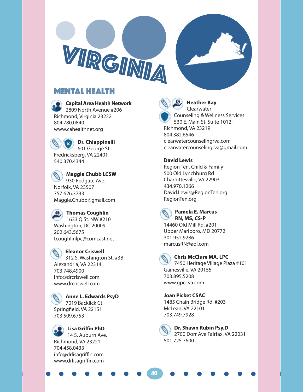

#### Mental Health



**Capital Area Health Network** 2809 North Avenue #206

Richmond, Virginia 23222 804.780.0840 www.cahealthnet.org

**Dr. Chiappinelli** 601 George St. Fredricksberg, VA 22401 540.370.4344

**Maggie Chubb LCSW**  930 Redgate Ave. Norfolk, VA 23507 757.626.3733 Maggie.Chubb@gmail.com

**Thomas Coughlin** 1633 Q St. NW #210 Washington, DC 20009 202.643.5675 tcoughlinlpc@comcast.net

**Eleanor Criswell** 312 S. Washington St. #3B Alexandria, VA 22314 703.748.4900 info@drcriswell.com www.drcriswell.com

**Anne L. Edwards PsyD** 7019 Backlick Ct. Springfield, VA 22151 703.509.6753

**Lisa Griffin PhD**  14 S. Auburn Ave. Richmond, VA 23221 704.458.0433 info@drlisagriffin.com www.drlisagriffin.com



**Heather Kay Clearwater** Counseling & Wellness Services 530 E. Main St. Suite 1012; Richmond, VA 23219 804.382.6546

clearwatercounselingrva.com clearwatercounselingrva@gmail.com

#### **David Lewis**

Region Ten, Child & Family 500 Old Lynchburg Rd Charlottesville, VA 22903 434.970.1266 David.Lewis@RegionTen.org RegionTen.org



#### **Pamela E. Marcus RN, MS, CS-P**

14460 Old Mill Rd. #201 Upper Marlboro, MD 20772 301.952.9286 marcusRN@aol.com



#### **Chris McClure MA, LPC**

7450 Heritage Village Plaza #101 Gainesville, VA 20155 703.895.5208 www.gpccva.com

**Joan Picket CSAC**  1485 Chain Bridge Rd. #203 McLean, VA 22101 703.749.7928



40

**Dr. Shawn Rubin Psy.D** 2700 Dorr Ave Fairfax, VA 22031 501.725.7600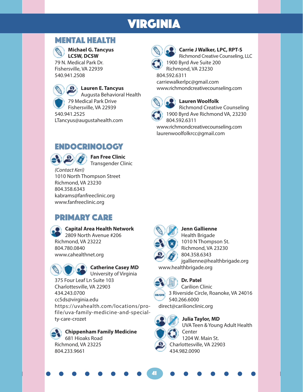## VIRGINIA

#### Mental Health



**Michael G. Tancyus LCSW, DCSW**

79 N. Medical Park Dr. Fishersville, VA 22939 540.941.2508



#### **Lauren E. Tancyus**

Augusta Behavioral Health 79 Medical Park Drive Fishersville, VA 22939 540.941.2525 LTancyus@augustahealth.com

#### ENDOCRINOLOGY



**Fan Free Clinic** Transgender Clinic

*(Contact Keri)* 1010 North Thompson Street Richmond, VA 23230 804.358.6343 kabrams@fanfreeclinic.org www.fanfreeclinic.org

## PRIMARY CARE



#### **Capital Area Health Network**

2809 North Avenue #206 Richmond, VA 23222 804.780.0840 www.cahealthnet.org



**Catherine Casey MD**

University of Virginia 375 Four Leaf Ln Suite 103 Charlottesville, VA 22903 434.243.0700 cc5ds@virginia.edu https://uvahealth.com/locations/profile/uva-family-medicine-and-specialty-care-crozet

**Chippenham Family Medicine** 681 Hioaks Road Richmond, VA 23225 804.233.9661



**Carrie J Walker, LPC, RPT-S** Richmond Creative Counseling, LLC

1900 Byrd Ave Suite 200 Richmond, VA 23230

804.592.6311 carriewalkerlpc@gmail.com www.richmondcreativecounseling.com



#### **Lauren Woolfolk**

Richmond Creative Counseling 1900 Byrd Ave Richmond VA, 23230 804.592.6311

www.richmondcreativecounseling.com laurenwoolfolkrcc@gmail.com



**Jenn Gallienne** Health Brigade 1010 N Thompson St. Richmond, VA 23230 804.358.6343 jgallienne@healthbrigade.org www.healthbrigade.org



#### **Dr. Patel**



Carilion Clinic **ONGTH** 3 Riverside Circle, Roanoke, VA 24016 540.266.6000 direct@carilionclinic.org



41

UVA Teen & Young Adult Health Center 1204 W. Main St. Charlottesville, VA 22903 434.982.0090

**Julia Taylor, MD**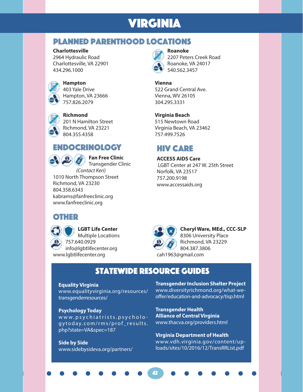## VIRGINIA

#### Planned Parenthood locations

#### **Charlottesville**

2964 Hydraulic Road Charlottesville, VA 22901 434.296.1000



#### **Hampton**

403 Yale Drive Hampton, VA 23666 757.826.2079



**Richmond**

201 N Hamilton Street Richmond, VA 23221 804.355.4358

#### ENDOCRINOLOGY



**Fan Free Clinic** Transgender Clinic

*(Contact Keri)* 1010 North Thompson Street Richmond, VA 23230 804.358.6343 kabrams@fanfreeclinic.org www.fanfreeclinic.org

#### OTHER

**LGBT Life Center** Multiple Locations

757.640.0929 info@lgbtlifecenter.org www.lgbtlifecenter.org

## **Roanoke**

2207 Peters Creek Road Roanoke, VA 24017 540.562.3457

#### **Vienna**

522 Grand Central Ave. Vienna, WV 26105 304.295.3331

#### **Virginia Beach**

515 Newtown Road Virginia Beach, VA 23462 757.499.7526

#### HIV CARE

**ACCESS AIDS Care** LGBT Center at 247 W. 25th Street Norfolk, VA 23517 757.200.9198 www.accessaids.org



**Cheryl Ware, MEd., CCC-SLP** 8306 University Place

Richmond, VA 23229 804.387.3806 cah1963@gmail.com

#### **STATEWIDE RESOURCE GUIDES**

42

#### **Equality Virginia**

www.equalityvirginia.org/resources/ transgenderresources/

#### **Psychology Today**

www.psychiatrists.psycholo gytoday.com/rms/prof\_results. php?state=VA&spec=187

**Side by Side** www.sidebysideva.org/partners/ **Transgender Inclusion Shelter Project** www.diversityrichmond.org/what-weoffer/education-and-advocacy/tisp.html

**Transgender Health Alliance of Central Virginia** www.thacva.org/providers.html

**Virginia Department of Health** www.vdh.virginia.gov/content/uploads/sites/10/2016/12/TransRRList.pdf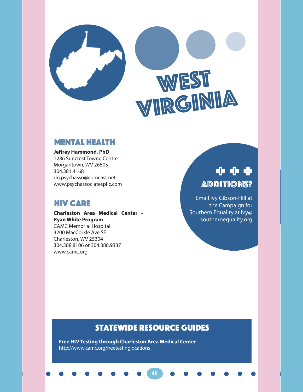

# WEST<br>VIRGINIA

#### Mental Health

**Jeffrey Hammond, PhD**

1286 Suncrest Towne Centre Morgantown, WV 26505 304.381.4168 drj.psychasso@comcast.net www.psychassociatespllc.com

#### HIV CARE

www.camc.org

**Charleston Area Medical Center - Ryan White Program** CAMC Memorial Hospital 3200 MacCorkle Ave SE Charleston, WV 25304 304.388.8106 or 304.388.9337

## Additions? + + +

Email Ivy Gibson-Hill at the Campaign for Southern Equality at ivy@ southernequality.org

#### StateWIDE Resource guides

43

**Free HIV Testing through Charleston Area Medical Center** http://www.camc.org/freetestinglocations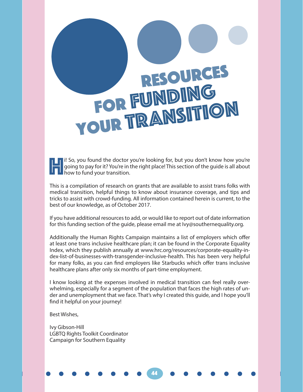# RESOURCES FOR FUNDING YOUR TRANSITION

**Hi** So, you found the doctor you're looking for, but you don't know how you're going to pay for it? You're in the right place! This section of the guide is all about how to fund your transition. going to pay for it? You're in the right place! This section of the guide is all about how to fund your transition.

This is a compilation of research on grants that are available to assist trans folks with medical transition, helpful things to know about insurance coverage, and tips and tricks to assist with crowd-funding. All information contained herein is current, to the best of our knowledge, as of October 2017.

If you have additional resources to add, or would like to report out of date information for this funding section of the guide, please email me at Ivy@southernequality.org.

Additionally the Human Rights Campaign maintains a list of employers which offer at least one trans inclusive healthcare plan; it can be found in the Corporate Equality Index, which they publish annually at www.hrc.org/resources/corporate-equality-index-list-of-businesses-with-transgender-inclusive-health. This has been very helpful for many folks, as you can find employers like Starbucks which offer trans inclusive healthcare plans after only six months of part-time employment.

I know looking at the expenses involved in medical transition can feel really overwhelming, especially for a segment of the population that faces the high rates of under and unemployment that we face. That's why I created this guide, and I hope you'll find it helpful on your journey!

44

Best Wishes,

Ivy Gibson-Hill LGBTQ Rights Toolkit Coordinator Campaign for Southern Equality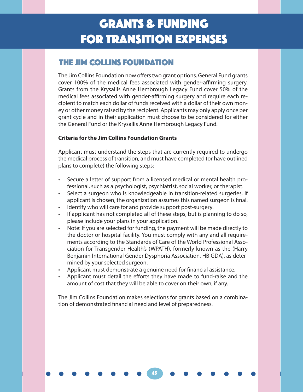#### THE JIM COLLINS FOUNDATION

The Jim Collins Foundation now offers two grant options. General Fund grants cover 100% of the medical fees associated with gender-affirming surgery. Grants from the Krysallis Anne Hembrough Legacy Fund cover 50% of the medical fees associated with gender-affirming surgery and require each recipient to match each dollar of funds received with a dollar of their own money or other money raised by the recipient. Applicants may only apply once per grant cycle and in their application must choose to be considered for either the General Fund or the Krysallis Anne Hembrough Legacy Fund.

#### **Criteria for the Jim Collins Foundation Grants**

Applicant must understand the steps that are currently required to undergo the medical process of transition, and must have completed (or have outlined plans to complete) the following steps:

- Secure a letter of support from a licensed medical or mental health professional, such as a psychologist, psychiatrist, social worker, or therapist.
- Select a surgeon who is knowledgeable in transition-related surgeries. If applicant is chosen, the organization assumes this named surgeon is final.
- Identify who will care for and provide support post-surgery.
- If applicant has not completed all of these steps, but is planning to do so, please include your plans in your application.
- Note: If you are selected for funding, the payment will be made directly to the doctor or hospital facility. You must comply with any and all requirements according to the Standards of Care of the World Professional Association for Transgender Health's (WPATH), formerly known as the (Harry Benjamin International Gender Dysphoria Association, HBIGDA), as determined by your selected surgeon.
- Applicant must demonstrate a genuine need for financial assistance.
- Applicant must detail the efforts they have made to fund-raise and the amount of cost that they will be able to cover on their own, if any.

The Jim Collins Foundation makes selections for grants based on a combination of demonstrated financial need and level of preparedness.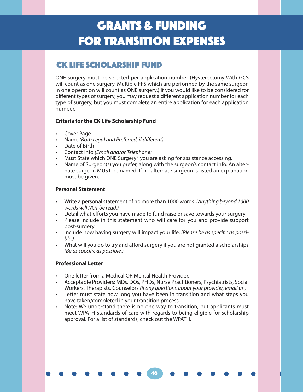#### CK LIFE SCHOLARSHIP FUND

ONE surgery must be selected per application number (Hysterectomy With GCS will count as one surgery. Multiple FFS which are performed by the same surgeon in one operation will count as ONE surgery.) If you would like to be considered for different types of surgery, you may request a different application number for each type of surgery, but you must complete an entire application for each application number.

#### **Criteria for the CK Life Scholarship Fund**

- Cover Page
- Name *(Both Legal and Preferred, if different)*
- Date of Birth
- Contact Info *(Email and/or Telephone)*
- Must State which ONE Surgery\* you are asking for assistance accessing.
- Name of Surgeon(s) you prefer, along with the surgeon's contact info. An alternate surgeon MUST be named. If no alternate surgeon is listed an explanation must be given.

#### **Personal Statement**

- Write a personal statement of no more than 1000 words. *(Anything beyond 1000 words will NOT be read.)*
- Detail what efforts you have made to fund raise or save towards your surgery.
- Please include in this statement who will care for you and provide support post-surgery.
- Include how having surgery will impact your life. *(Please be as specific as possible.)*
- What will you do to try and afford surgery if you are not granted a scholarship? *(Be as specific as possible.)*

#### **Professional Letter**

- One letter from a Medical OR Mental Health Provider.
- Acceptable Providers: MDs, DOs, PHDs, Nurse Practitioners, Psychiatrists, Social Workers, Therapists, Counselors *(if any questions about your provider, email us.)*
- Letter must state how long you have been in transition and what steps you have taken/completed in your transition process.
- Note: We understand there is no one way to transition, but applicants must meet WPATH standards of care with regards to being eligible for scholarship approval. For a list of standards, check out the WPATH.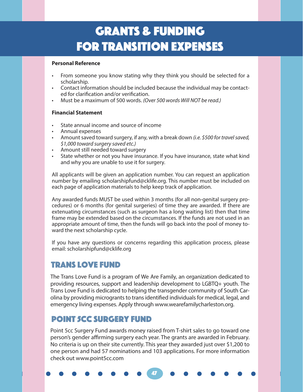#### **Personal Reference**

- From someone you know stating why they think you should be selected for a scholarship.
- Contact information should be included because the individual may be contacted for clarification and/or verification.
- Must be a maximum of 500 words. *(Over 500 words Will NOT be read.)*

#### **Financial Statement**

- State annual income and source of income
- Annual expenses
- Amount saved toward surgery, if any, with a break down *(i.e. \$500 for travel saved, \$1,000 toward surgery saved etc.)*
- Amount still needed toward surgery
- State whether or not you have insurance. If you have insurance, state what kind and why you are unable to use it for surgery.

All applicants will be given an application number. You can request an application number by emailing scholarshipfund@cklife.org. This number must be included on each page of application materials to help keep track of application.

Any awarded funds MUST be used within 3 months (for all non-genital surgery procedures) or 6 months (for genital surgeries) of time they are awarded. If there are extenuating circumstances (such as surgeon has a long waiting list) then that time frame may be extended based on the circumstances. If the funds are not used in an appropriate amount of time, then the funds will go back into the pool of money toward the next scholarship cycle.

If you have any questions or concerns regarding this application process, please email: scholarshipfund@cklife.org

#### Trans Love Fund

The Trans Love Fund is a program of We Are Family, an organization dedicated to providing resources, support and leadership development to LGBTQ+ youth. The Trans Love Fund is dedicated to helping the transgender community of South Carolina by providing microgrants to trans identified individuals for medical, legal, and emergency living expenses. Apply through www.wearefamilycharleston.org.

#### Point 5cc surgery fund

Point 5cc Surgery Fund awards money raised from T-shirt sales to go toward one person's gender affirming surgery each year. The grants are awarded in February. No criteria is up on their site currently. This year they awarded just over \$1,200 to one person and had 57 nominations and 103 applications. For more information check out www.point5cc.com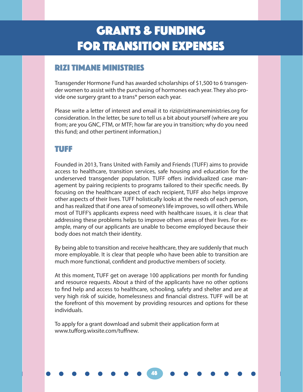#### Rizi Timane Ministries

Transgender Hormone Fund has awarded scholarships of \$1,500 to 6 transgender women to assist with the purchasing of hormones each year. They also provide one surgery grant to a trans\* person each year.

Please write a letter of interest and email it to rizi@rizitimaneministries.org for consideration. In the letter, be sure to tell us a bit about yourself (where are you from; are you GNC, FTM, or MTF; how far are you in transition; why do you need this fund; and other pertinent information.)

#### TUFF

Founded in 2013, Trans United with Family and Friends (TUFF) aims to provide access to healthcare, transition services, safe housing and education for the underserved transgender population. TUFF offers individualized case management by pairing recipients to programs tailored to their specific needs. By focusing on the healthcare aspect of each recipient, TUFF also helps improve other aspects of their lives. TUFF holistically looks at the needs of each person, and has realized that if one area of someone's life improves, so will others. While most of TUFF's applicants express need with healthcare issues, it is clear that addressing these problems helps to improve others areas of their lives. For example, many of our applicants are unable to become employed because their body does not match their identity.

By being able to transition and receive healthcare, they are suddenly that much more employable. It is clear that people who have been able to transition are much more functional, confident and productive members of society.

At this moment, TUFF get on average 100 applications per month for funding and resource requests. About a third of the applicants have no other options to find help and access to healthcare, schooling, safety and shelter and are at very high risk of suicide, homelessness and financial distress. TUFF will be at the forefront of this movement by providing resources and options for these individuals.

48

To apply for a grant download and submit their application form at www.tufforg.wixsite.com/tuffnew.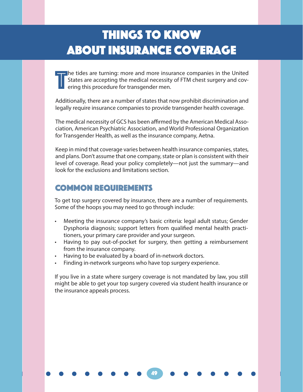## Things to Know About Insurance Coverage

T he tides are turning: more and more insurance companies in the United States are accepting the medical necessity of FTM chest surgery and covering this procedure for transgender men.

Additionally, there are a number of states that now prohibit discrimination and legally require insurance companies to provide transgender health coverage.

The medical necessity of GCS has been affirmed by the American Medical Association, American Psychiatric Association, and World Professional Organization for Transgender Health, as well as the insurance company, Aetna.

Keep in mind that coverage varies between health insurance companies, states, and plans. Don't assume that one company, state or plan is consistent with their level of coverage. Read your policy completely—not just the summary—and look for the exclusions and limitations section.

#### COMMON REQUIREMENTS

To get top surgery covered by insurance, there are a number of requirements. Some of the hoops you may need to go through include:

- Meeting the insurance company's basic criteria: legal adult status; Gender Dysphoria diagnosis; support letters from qualified mental health practitioners, your primary care provider and your surgeon.
- Having to pay out-of-pocket for surgery, then getting a reimbursement from the insurance company.
- Having to be evaluated by a board of in-network doctors.
- Finding in-network surgeons who have top surgery experience.

If you live in a state where surgery coverage is not mandated by law, you still might be able to get your top surgery covered via student health insurance or the insurance appeals process.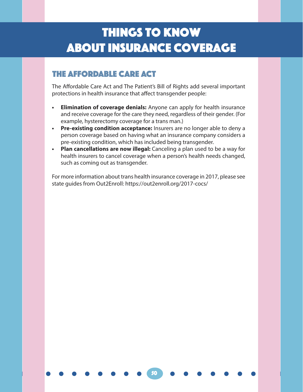## Things to Know About Insurance Coverage

#### THE AFFORDABLE CARE ACT

The Affordable Care Act and The Patient's Bill of Rights add several important protections in health insurance that affect transgender people:

- **• Elimination of coverage denials:** Anyone can apply for health insurance and receive coverage for the care they need, regardless of their gender. (For example, hysterectomy coverage for a trans man.)
- **• Pre-existing condition acceptance:** Insurers are no longer able to deny a person coverage based on having what an insurance company considers a pre-existing condition, which has included being transgender.
- **• Plan cancellations are now illegal:** Canceling a plan used to be a way for health insurers to cancel coverage when a person's health needs changed, such as coming out as transgender.

For more information about trans health insurance coverage in 2017, please see state guides from Out2Enroll: https://out2enroll.org/2017-cocs/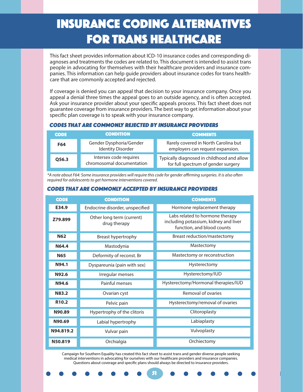## Insurance coding alternatives for trans healthcare

This fact sheet provides information about ICD-10 insurance codes and corresponding diagnoses and treatments the codes are related to. This document is intended to assist trans people in advocating for themselves with their healthcare providers and insurance companies. This information can help guide providers about insurance codes for trans healthcare that are commonly accepted and rejected.

If coverage is denied you can appeal that decision to your insurance company. Once you appeal a denial three times the appeal goes to an outside agency, and is often accepted. Ask your insurance provider about your specific appeals process. This fact sheet does not guarantee coverage from insurance providers. The best way to get information about your specific plan coverage is to speak with your insurance company.

#### Codes that are commonly REJECTED by insurance providers

| <b>CODE</b> | <b>CONDITION</b>                                    | <b>COMMENTS</b>                                                                   |
|-------------|-----------------------------------------------------|-----------------------------------------------------------------------------------|
| F64         | Gender Dysphoria/Gender<br><b>Identity Disorder</b> | Rarely covered in North Carolina but<br>employers can request expansion.          |
| Q56.3       | Intersex code requires<br>chromosomal documentation | Typically diagnosed in childhood and allow<br>for full spectrum of gender surgery |

*\*A note about F64: Some insurance providers will require this code for gender affirming surgeries. It is also often required for adolescents to get hormone interventions covered.*

| <b>CODE</b>       | <b>CONDITION</b>                          | <b>COMMENTS</b>                                                                                        |
|-------------------|-------------------------------------------|--------------------------------------------------------------------------------------------------------|
| E34.9             | Endocrine disorder, unspecified           | Hormone replacement therapy                                                                            |
| Z79.899           | Other long term (current)<br>drug therapy | Labs related to hormone therapy<br>including potassium, kidney and liver<br>function, and blood counts |
| <b>N62</b>        | Breast hypertrophy                        | Breast reduction/mastectomy                                                                            |
| N64.4             | Mastodynia                                | Mastectomy                                                                                             |
| <b>N65</b>        | Deformity of reconst. Br                  | Mastectomy or reconstruction                                                                           |
| N94.1             | Dyspareunia (pain with sex)               | Hysterectomy                                                                                           |
| N92.6             | Irregular menses                          | Hysterectomy/IUD                                                                                       |
| N94.6             | Painful menses                            | Hysterectomy/Hormonal therapies/IUD                                                                    |
| N83.2             | Ovarian cyst                              | Removal of ovaries                                                                                     |
| R <sub>10.2</sub> | Pelvic pain                               | Hysterectomy/removal of ovaries                                                                        |
| N90.89            | Hypertrophy of the clitoris               | Clitoroplasty                                                                                          |
| N90.69            | Labial hypertrophy                        | Labiaplasty                                                                                            |
| N94.819.2         | Vulvar pain                               | Vulvoplasty                                                                                            |
| N50.819           | Orchialgia                                | Orchiectomy                                                                                            |

#### Codes that are commonly ACCEPTED by insurance providers

Campaign for Southern Equality has created this fact sheet to assist trans and gender diverse people seeking medical interventions in advocating for ourselves with our healthcare providers and insurance companies. Questions about coverage and specific plans should always be directed to insurance providers.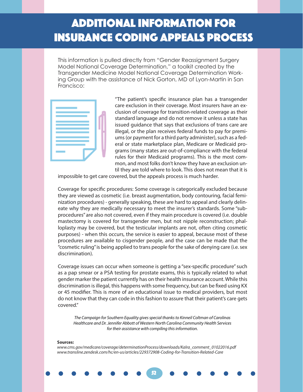## Additional information for insurance coding appeals process

This information is pulled directly from "Gender Reassignment Surgery Model National Coverage Determination," a toolkit created by the Transgender Medicine Model National Coverage Determination Working Group with the assistance of Nick Gorton, MD of Lyon-Martin in San Francisco:



"The patient's specific insurance plan has a transgender care exclusion in their coverage. Most insurers have an exclusion of coverage for transition-related coverage as their standard language and do not remove it unless a state has issued guidance that says that exclusions of trans care are illegal, or the plan receives federal funds to pay for premiums (or payment for a third party administer), such as a federal or state marketplace plan, Medicare or Medicaid programs (many states are out-of-compliance with the federal rules for their Medicaid programs). This is the most common, and most folks don't know they have an exclusion until they are told where to look. This does not mean that it is

impossible to get care covered, but the appeals process is much harder.

Coverage for specific procedures: Some coverage is categorically excluded because they are viewed as cosmetic (i.e. breast augmentation, body contouring, facial feminization procedures) - generally speaking, these are hard to appeal and clearly delineate why they are medically necessary to meet the insurer's standards. Some "subprocedures" are also not covered, even if they main procedure is covered (i.e. double mastectomy is covered for transgender men, but not nipple reconstruction; phalloplasty may be covered, but the testicular implants are not, often citing cosmetic purposes) - when this occurs, the service is easier to appeal, because most of these procedures are available to cisgender people, and the case can be made that the "cosmetic ruling" is being applied to trans people for the sake of denying care (i.e. sex discrimination).

Coverage issues can occur when someone is getting a "sex-specific procedure" such as a pap smear or a PSA testing for prostate exams, this is typically related to what gender marker the patient currently has on their health insurance account. While this discrimination is illegal, this happens with some frequency, but can be fixed using KX or 45 modifier. This is more of an educational issue to medical providers, but most do not know that they can code in this fashion to assure that their patient's care gets covered."

*The Campaign for Southern Equality gives special thanks to Kinneil Coltman of Carolinas Healthcare and Dr. Jennifer Abbott of Western North Carolina Community Health Services for their assistance with compiling this information.*

52

#### **Sources:**

*www.cms.gov/medicare/coverage/determinationProcess/downloads/Kalra\_comment\_01022016.pdf www.transline.zendesk.com/hc/en-us/articles/229372908-Coding-for-Transition-Related-Care*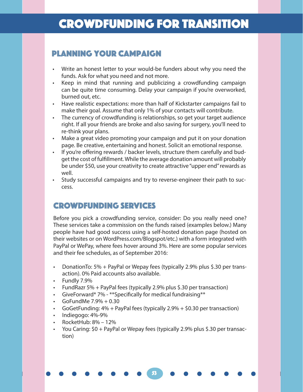#### Planning Your Campaign

- Write an honest letter to your would-be funders about why you need the funds. Ask for what you need and not more.
- Keep in mind that running and publicizing a crowdfunding campaign can be quite time consuming. Delay your campaign if you're overworked, burned out, etc.
- Have realistic expectations: more than half of Kickstarter campaigns fail to make their goal. Assume that only 1% of your contacts will contribute.
- The currency of crowdfunding is relationships, so get your target audience right. If all your friends are broke and also saving for surgery, you'll need to re-think your plans.
- Make a great video promoting your campaign and put it on your donation page. Be creative, entertaining and honest. Solicit an emotional response.
- If you're offering rewards / backer levels, structure them carefully and budget the cost of fulfillment. While the average donation amount will probably be under \$50, use your creativity to create attractive "upper end" rewards as well.
- Study successful campaigns and try to reverse-engineer their path to success.

#### CROWDFUNDING SERVICES

Before you pick a crowdfunding service, consider: Do you really need one? These services take a commission on the funds raised (examples below.) Many people have had good success using a self-hosted donation page (hosted on their websites or on WordPress.com/Blogspot/etc.) with a form integrated with PayPal or WePay, where fees hover around 3%. Here are some popular services and their fee schedules, as of September 2016:

- DonationTo: 5% + PayPal or Wepay fees (typically 2.9% plus \$.30 per transaction). 0% Paid accounts also available.
- Fundly 7.9%
- FundRazr 5% + PayPal fees (typically 2.9% plus \$.30 per transaction)
- GiveForward\* 7% \*\*Specifically for medical fundraising\*\*
- GoFundMe  $7.9% + 0.30$
- GoGetFunding:  $4\%$  + PayPal fees (typically 2.9% + \$0.30 per transaction)
- Indiegogo: 4%-9%
- RocketHub: 8% 12%
- You Caring: \$0 + PayPal or Wepay fees (typically 2.9% plus \$.30 per transaction)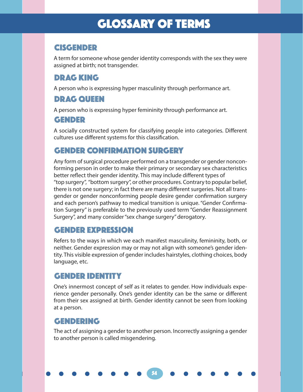## GLOSSARY OF TERMS

#### CISGENDER

A term for someone whose gender identity corresponds with the sex they were assigned at birth; not transgender.

#### DRAG KING

A person who is expressing hyper masculinity through performance art.

#### DRAG QUEEN

A person who is expressing hyper femininity through performance art.

#### GENDER

A socially constructed system for classifying people into categories. Different cultures use different systems for this classification.

#### GENDER CONFIRMATION SURGERY

Any form of surgical procedure performed on a transgender or gender nonconforming person in order to make their primary or secondary sex characteristics better reflect their gender identity. This may include different types of "top surgery", "bottom surgery", or other procedures. Contrary to popular belief, there is not one surgery; in fact there are many different surgeries. Not all transgender or gender nonconforming people desire gender confirmation surgery and each person's pathway to medical transition is unique. "Gender Confirmation Surgery" is preferable to the previously used term "Gender Reassignment Surgery", and many consider "sex change surgery" derogatory.

#### GENDER EXPRESSION

Refers to the ways in which we each manifest masculinity, femininity, both, or neither. Gender expression may or may not align with someone's gender identity. This visible expression of gender includes hairstyles, clothing choices, body language, etc.

#### GENDER IDENTITY

One's innermost concept of self as it relates to gender. How individuals experience gender personally. One's gender identity can be the same or different from their sex assigned at birth. Gender identity cannot be seen from looking at a person.

#### GENDERING

The act of assigning a gender to another person. Incorrectly assigning a gender to another person is called misgendering.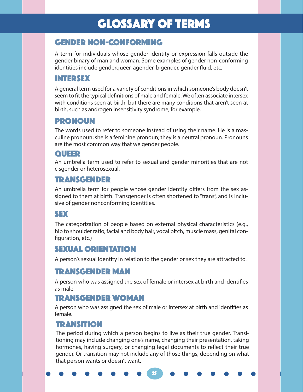## GLOSSARY OF TERMS

#### GENDER NOn-CONFORMING

A term for individuals whose gender identity or expression falls outside the gender binary of man and woman. Some examples of gender non-conforming identities include genderqueer, agender, bigender, gender fluid, etc.

#### INTERSEX

A general term used for a variety of conditions in which someone's body doesn't seem to fit the typical definitions of male and female. We often associate intersex with conditions seen at birth, but there are many conditions that aren't seen at birth, such as androgen insensitivity syndrome, for example.

#### PRONOUN

The words used to refer to someone instead of using their name. He is a masculine pronoun; she is a feminine pronoun; they is a neutral pronoun. Pronouns are the most common way that we gender people.

#### QUEER

An umbrella term used to refer to sexual and gender minorities that are not cisgender or heterosexual.

#### TRANSGENDER

An umbrella term for people whose gender identity differs from the sex assigned to them at birth. Transgender is often shortened to "trans", and is inclusive of gender nonconforming identities.

#### SEX

The categorization of people based on external physical characteristics (e.g., hip to shoulder ratio, facial and body hair, vocal pitch, muscle mass, genital configuration, etc.)

#### SEXUAL ORIENTATION

A person's sexual identity in relation to the gender or sex they are attracted to.

#### TRANSGENDER MAN

A person who was assigned the sex of female or intersex at birth and identifies as male.

#### TRANSGENDER WOMAN

A person who was assigned the sex of male or intersex at birth and identifies as female.

#### **TRANSITION**

The period during which a person begins to live as their true gender. Transitioning may include changing one's name, changing their presentation, taking hormones, having surgery, or changing legal documents to reflect their true gender. Or transition may not include any of those things, depending on what that person wants or doesn't want.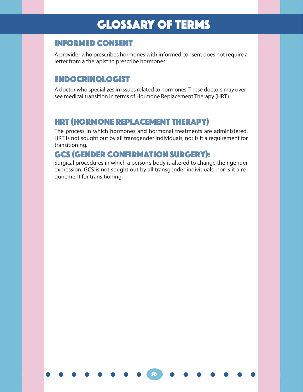## GLOSSARY OF TERMS

#### Informed consent

A provider who prescribes hormones with informed consent does not require a letter from a therapist to prescribe hormones.

#### Endocrinologist

A doctor who specializes in issues related to hormones. These doctors may oversee medical transition in terms of Hormone Replacement Therapy (HRT).

#### HRT (hormone replacement therapy)

The process in which hormones and hormonal treatments are administered. HRT is not sought out by all transgender individuals, nor is it a requirement for transitioning.

#### GCS (gender confirmation surgery):

Surgical procedures in which a person's body is altered to change their gender expression. GCS is not sought out by all transgender individuals, nor is it a requirement for transitioning.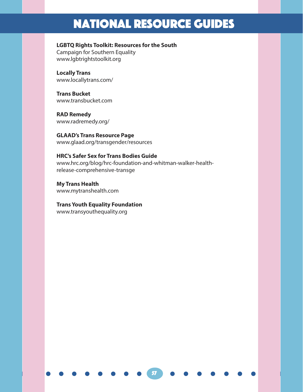## National RESOURCE GUIDES

#### **LGBTQ Rights Toolkit: Resources for the South**

Campaign for Southern Equality www.lgbtrightstoolkit.org

**Locally Trans** www.locallytrans.com/

**Trans Bucket** www.transbucket.com

**RAD Remedy** www.radremedy.org/

**GLAAD's Trans Resource Page** www.glaad.org/transgender/resources

#### **HRC's Safer Sex for Trans Bodies Guide**

www.hrc.org/blog/hrc-foundation-and-whitman-walker-healthrelease-comprehensive-transge

57

**My Trans Health** www.mytranshealth.com

#### **Trans Youth Equality Foundation**

www.transyouthequality.org